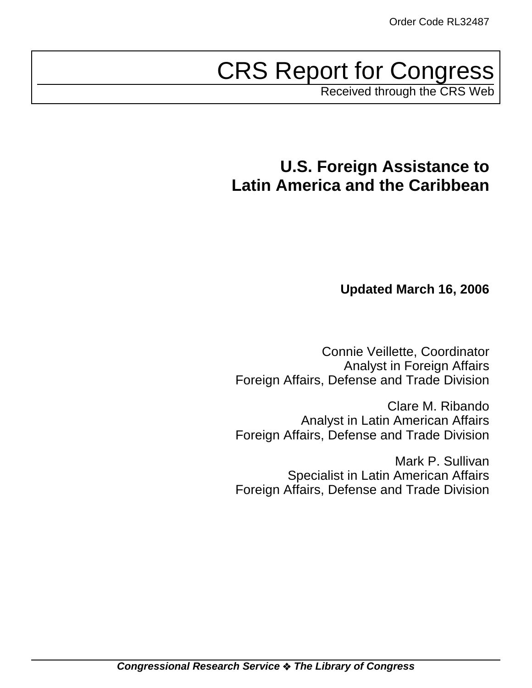# CRS Report for Congress

Received through the CRS Web

## **U.S. Foreign Assistance to Latin America and the Caribbean**

## **Updated March 16, 2006**

Connie Veillette, Coordinator Analyst in Foreign Affairs Foreign Affairs, Defense and Trade Division

Clare M. Ribando Analyst in Latin American Affairs Foreign Affairs, Defense and Trade Division

Mark P. Sullivan Specialist in Latin American Affairs Foreign Affairs, Defense and Trade Division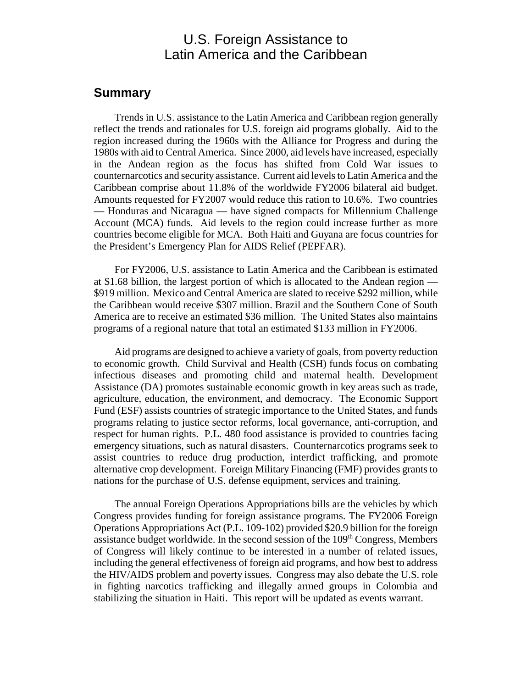## U.S. Foreign Assistance to Latin America and the Caribbean

## **Summary**

Trends in U.S. assistance to the Latin America and Caribbean region generally reflect the trends and rationales for U.S. foreign aid programs globally. Aid to the region increased during the 1960s with the Alliance for Progress and during the 1980s with aid to Central America. Since 2000, aid levels have increased, especially in the Andean region as the focus has shifted from Cold War issues to counternarcotics and security assistance. Current aid levels to Latin America and the Caribbean comprise about 11.8% of the worldwide FY2006 bilateral aid budget. Amounts requested for FY2007 would reduce this ration to 10.6%. Two countries — Honduras and Nicaragua — have signed compacts for Millennium Challenge Account (MCA) funds. Aid levels to the region could increase further as more countries become eligible for MCA. Both Haiti and Guyana are focus countries for the President's Emergency Plan for AIDS Relief (PEPFAR).

For FY2006, U.S. assistance to Latin America and the Caribbean is estimated at \$1.68 billion, the largest portion of which is allocated to the Andean region — \$919 million. Mexico and Central America are slated to receive \$292 million, while the Caribbean would receive \$307 million. Brazil and the Southern Cone of South America are to receive an estimated \$36 million. The United States also maintains programs of a regional nature that total an estimated \$133 million in FY2006.

Aid programs are designed to achieve a variety of goals, from poverty reduction to economic growth. Child Survival and Health (CSH) funds focus on combating infectious diseases and promoting child and maternal health. Development Assistance (DA) promotes sustainable economic growth in key areas such as trade, agriculture, education, the environment, and democracy. The Economic Support Fund (ESF) assists countries of strategic importance to the United States, and funds programs relating to justice sector reforms, local governance, anti-corruption, and respect for human rights. P.L. 480 food assistance is provided to countries facing emergency situations, such as natural disasters. Counternarcotics programs seek to assist countries to reduce drug production, interdict trafficking, and promote alternative crop development. Foreign Military Financing (FMF) provides grants to nations for the purchase of U.S. defense equipment, services and training.

The annual Foreign Operations Appropriations bills are the vehicles by which Congress provides funding for foreign assistance programs. The FY2006 Foreign Operations Appropriations Act (P.L. 109-102) provided \$20.9 billion for the foreign assistance budget worldwide. In the second session of the  $109<sup>th</sup>$  Congress, Members of Congress will likely continue to be interested in a number of related issues, including the general effectiveness of foreign aid programs, and how best to address the HIV/AIDS problem and poverty issues. Congress may also debate the U.S. role in fighting narcotics trafficking and illegally armed groups in Colombia and stabilizing the situation in Haiti. This report will be updated as events warrant.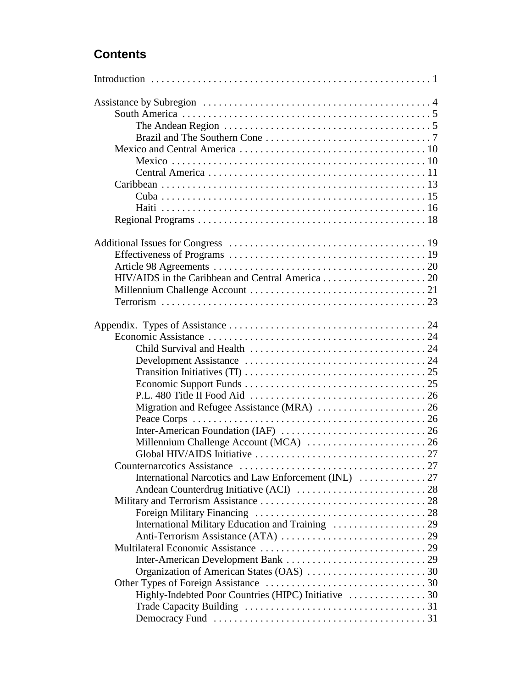## **Contents**

| The Andean Region $\ldots \ldots \ldots \ldots \ldots \ldots \ldots \ldots \ldots \ldots \ldots \ldots$ |  |
|---------------------------------------------------------------------------------------------------------|--|
|                                                                                                         |  |
|                                                                                                         |  |
|                                                                                                         |  |
|                                                                                                         |  |
|                                                                                                         |  |
|                                                                                                         |  |
|                                                                                                         |  |
|                                                                                                         |  |
|                                                                                                         |  |
|                                                                                                         |  |
|                                                                                                         |  |
|                                                                                                         |  |
|                                                                                                         |  |
|                                                                                                         |  |
|                                                                                                         |  |
|                                                                                                         |  |
|                                                                                                         |  |
|                                                                                                         |  |
|                                                                                                         |  |
|                                                                                                         |  |
|                                                                                                         |  |
| Migration and Refugee Assistance (MRA)  26                                                              |  |
|                                                                                                         |  |
|                                                                                                         |  |
|                                                                                                         |  |
|                                                                                                         |  |
|                                                                                                         |  |
|                                                                                                         |  |
|                                                                                                         |  |
|                                                                                                         |  |
|                                                                                                         |  |
|                                                                                                         |  |
|                                                                                                         |  |
|                                                                                                         |  |
|                                                                                                         |  |
|                                                                                                         |  |
|                                                                                                         |  |
|                                                                                                         |  |
|                                                                                                         |  |
|                                                                                                         |  |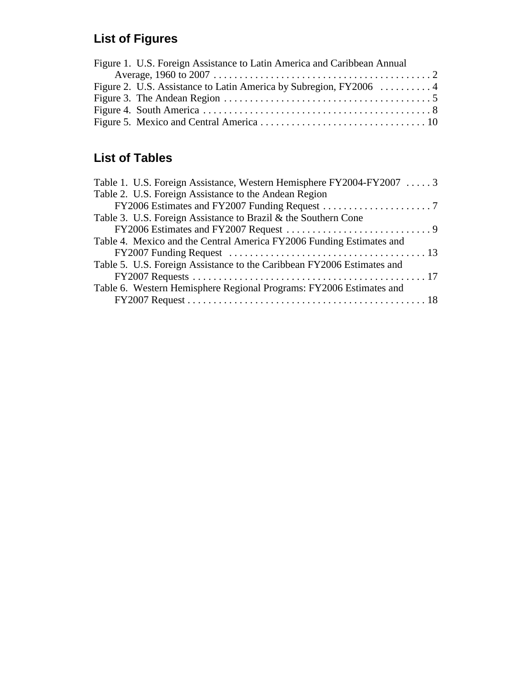## **List of Figures**

| Figure 1. U.S. Foreign Assistance to Latin America and Caribbean Annual |  |
|-------------------------------------------------------------------------|--|
|                                                                         |  |
|                                                                         |  |
|                                                                         |  |
|                                                                         |  |
|                                                                         |  |

## **List of Tables**

| Table 1. U.S. Foreign Assistance, Western Hemisphere FY2004-FY2007  3  |  |
|------------------------------------------------------------------------|--|
| Table 2. U.S. Foreign Assistance to the Andean Region                  |  |
|                                                                        |  |
| Table 3. U.S. Foreign Assistance to Brazil & the Southern Cone         |  |
|                                                                        |  |
| Table 4. Mexico and the Central America FY2006 Funding Estimates and   |  |
|                                                                        |  |
| Table 5. U.S. Foreign Assistance to the Caribbean FY2006 Estimates and |  |
|                                                                        |  |
| Table 6. Western Hemisphere Regional Programs: FY2006 Estimates and    |  |
|                                                                        |  |
|                                                                        |  |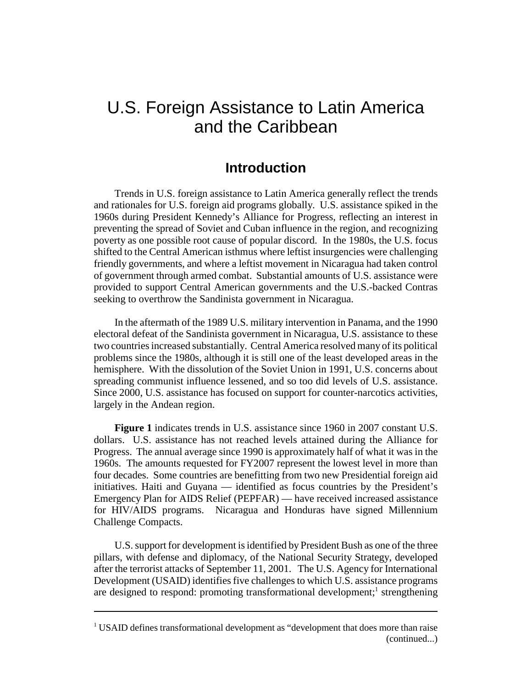## U.S. Foreign Assistance to Latin America and the Caribbean

## **Introduction**

Trends in U.S. foreign assistance to Latin America generally reflect the trends and rationales for U.S. foreign aid programs globally. U.S. assistance spiked in the 1960s during President Kennedy's Alliance for Progress, reflecting an interest in preventing the spread of Soviet and Cuban influence in the region, and recognizing poverty as one possible root cause of popular discord. In the 1980s, the U.S. focus shifted to the Central American isthmus where leftist insurgencies were challenging friendly governments, and where a leftist movement in Nicaragua had taken control of government through armed combat. Substantial amounts of U.S. assistance were provided to support Central American governments and the U.S.-backed Contras seeking to overthrow the Sandinista government in Nicaragua.

In the aftermath of the 1989 U.S. military intervention in Panama, and the 1990 electoral defeat of the Sandinista government in Nicaragua, U.S. assistance to these two countries increased substantially. Central America resolved many of its political problems since the 1980s, although it is still one of the least developed areas in the hemisphere. With the dissolution of the Soviet Union in 1991, U.S. concerns about spreading communist influence lessened, and so too did levels of U.S. assistance. Since 2000, U.S. assistance has focused on support for counter-narcotics activities, largely in the Andean region.

**Figure 1** indicates trends in U.S. assistance since 1960 in 2007 constant U.S. dollars. U.S. assistance has not reached levels attained during the Alliance for Progress. The annual average since 1990 is approximately half of what it was in the 1960s. The amounts requested for FY2007 represent the lowest level in more than four decades. Some countries are benefitting from two new Presidential foreign aid initiatives. Haiti and Guyana — identified as focus countries by the President's Emergency Plan for AIDS Relief (PEPFAR) — have received increased assistance for HIV/AIDS programs. Nicaragua and Honduras have signed Millennium Challenge Compacts.

U.S. support for development is identified by President Bush as one of the three pillars, with defense and diplomacy, of the National Security Strategy, developed after the terrorist attacks of September 11, 2001. The U.S. Agency for International Development (USAID) identifies five challenges to which U.S. assistance programs are designed to respond: promoting transformational development;<sup>1</sup> strengthening

<sup>&</sup>lt;sup>1</sup> USAID defines transformational development as "development that does more than raise (continued...)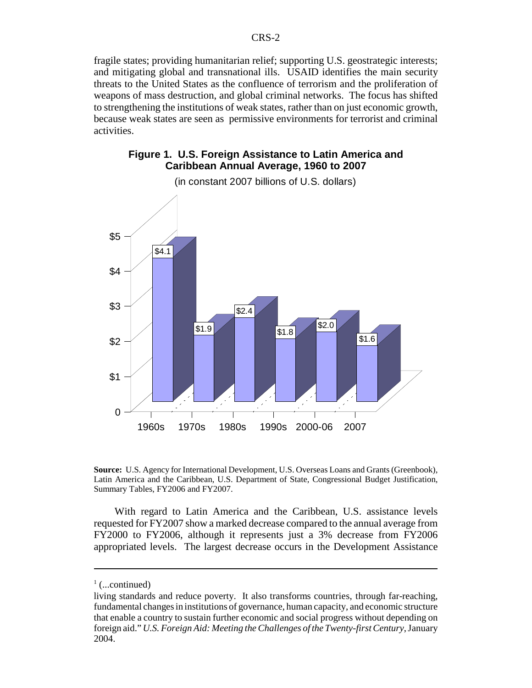fragile states; providing humanitarian relief; supporting U.S. geostrategic interests; and mitigating global and transnational ills. USAID identifies the main security threats to the United States as the confluence of terrorism and the proliferation of weapons of mass destruction, and global criminal networks. The focus has shifted to strengthening the institutions of weak states, rather than on just economic growth, because weak states are seen as permissive environments for terrorist and criminal activities.

#### **Figure 1. U.S. Foreign Assistance to Latin America and Caribbean Annual Average, 1960 to 2007**



(in constant 2007 billions of U.S. dollars)

**Source:** U.S. Agency for International Development, U.S. Overseas Loans and Grants (Greenbook), Latin America and the Caribbean, U.S. Department of State, Congressional Budget Justification, Summary Tables, FY2006 and FY2007.

With regard to Latin America and the Caribbean, U.S. assistance levels requested for FY2007 show a marked decrease compared to the annual average from FY2000 to FY2006, although it represents just a 3% decrease from FY2006 appropriated levels. The largest decrease occurs in the Development Assistance

 $\frac{1}{1}$  (...continued)

living standards and reduce poverty. It also transforms countries, through far-reaching, fundamental changes in institutions of governance, human capacity, and economic structure that enable a country to sustain further economic and social progress without depending on foreign aid." *U.S. Foreign Aid: Meeting the Challenges of the Twenty-first Century*, January 2004.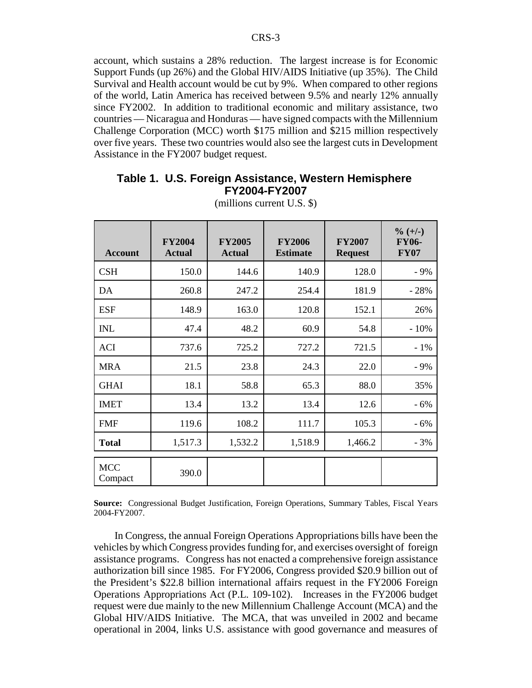account, which sustains a 28% reduction. The largest increase is for Economic Support Funds (up 26%) and the Global HIV/AIDS Initiative (up 35%). The Child Survival and Health account would be cut by 9%. When compared to other regions of the world, Latin America has received between 9.5% and nearly 12% annually since FY2002. In addition to traditional economic and military assistance, two countries — Nicaragua and Honduras — have signed compacts with the Millennium Challenge Corporation (MCC) worth \$175 million and \$215 million respectively over five years. These two countries would also see the largest cuts in Development Assistance in the FY2007 budget request.

#### **Table 1. U.S. Foreign Assistance, Western Hemisphere FY2004-FY2007**

| <b>Account</b>        | <b>FY2004</b><br><b>Actual</b> | <b>FY2005</b><br><b>Actual</b> | <b>FY2006</b><br><b>Estimate</b> | <b>FY2007</b><br><b>Request</b> | $\% (+/-)$<br><b>FY06-</b><br><b>FY07</b> |
|-----------------------|--------------------------------|--------------------------------|----------------------------------|---------------------------------|-------------------------------------------|
| <b>CSH</b>            | 150.0                          | 144.6                          | 140.9                            | 128.0                           | $-9%$                                     |
| DA                    | 260.8                          | 247.2                          | 254.4                            | 181.9                           | $-28%$                                    |
| <b>ESF</b>            | 148.9                          | 163.0                          | 120.8                            | 152.1                           | 26%                                       |
| <b>INL</b>            | 47.4                           | 48.2                           | 60.9                             | 54.8                            | $-10\%$                                   |
| <b>ACI</b>            | 737.6                          | 725.2                          | 727.2                            | 721.5                           | $-1\%$                                    |
| <b>MRA</b>            | 21.5                           | 23.8                           | 24.3                             | 22.0                            | $-9%$                                     |
| <b>GHAI</b>           | 18.1                           | 58.8                           | 65.3                             | 88.0                            | 35%                                       |
| <b>IMET</b>           | 13.4                           | 13.2                           | 13.4                             | 12.6                            | $-6%$                                     |
| <b>FMF</b>            | 119.6                          | 108.2                          | 111.7                            | 105.3                           | $-6%$                                     |
| <b>Total</b>          | 1,517.3                        | 1,532.2                        | 1,518.9                          | 1,466.2                         | $-3%$                                     |
| <b>MCC</b><br>Compact | 390.0                          |                                |                                  |                                 |                                           |

(millions current U.S. \$)

**Source:** Congressional Budget Justification, Foreign Operations, Summary Tables, Fiscal Years 2004-FY2007.

In Congress, the annual Foreign Operations Appropriations bills have been the vehicles by which Congress provides funding for, and exercises oversight of foreign assistance programs. Congress has not enacted a comprehensive foreign assistance authorization bill since 1985. For FY2006, Congress provided \$20.9 billion out of the President's \$22.8 billion international affairs request in the FY2006 Foreign Operations Appropriations Act (P.L. 109-102). Increases in the FY2006 budget request were due mainly to the new Millennium Challenge Account (MCA) and the Global HIV/AIDS Initiative. The MCA, that was unveiled in 2002 and became operational in 2004, links U.S. assistance with good governance and measures of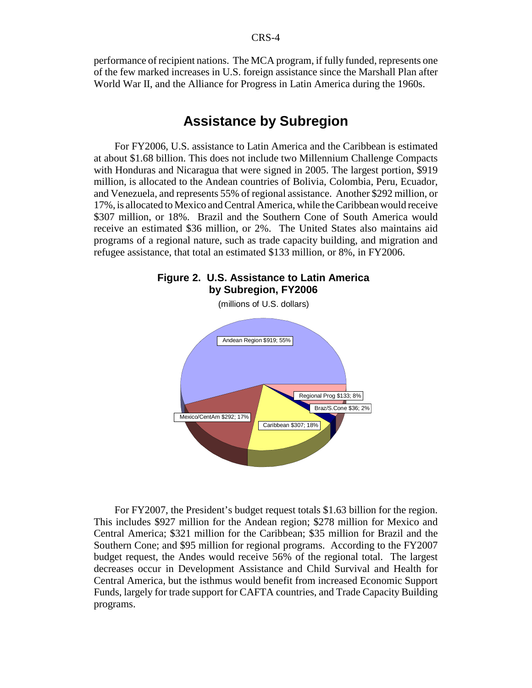performance of recipient nations. The MCA program, if fully funded, represents one of the few marked increases in U.S. foreign assistance since the Marshall Plan after World War II, and the Alliance for Progress in Latin America during the 1960s.

## **Assistance by Subregion**

For FY2006, U.S. assistance to Latin America and the Caribbean is estimated at about \$1.68 billion. This does not include two Millennium Challenge Compacts with Honduras and Nicaragua that were signed in 2005. The largest portion, \$919 million, is allocated to the Andean countries of Bolivia, Colombia, Peru, Ecuador, and Venezuela, and represents 55% of regional assistance. Another \$292 million, or 17%, is allocated to Mexico and Central America, while the Caribbean would receive \$307 million, or 18%. Brazil and the Southern Cone of South America would receive an estimated \$36 million, or 2%. The United States also maintains aid programs of a regional nature, such as trade capacity building, and migration and refugee assistance, that total an estimated \$133 million, or 8%, in FY2006.



**Figure 2. U.S. Assistance to Latin America**

For FY2007, the President's budget request totals \$1.63 billion for the region. This includes \$927 million for the Andean region; \$278 million for Mexico and Central America; \$321 million for the Caribbean; \$35 million for Brazil and the Southern Cone; and \$95 million for regional programs. According to the FY2007 budget request, the Andes would receive 56% of the regional total. The largest decreases occur in Development Assistance and Child Survival and Health for Central America, but the isthmus would benefit from increased Economic Support Funds, largely for trade support for CAFTA countries, and Trade Capacity Building programs.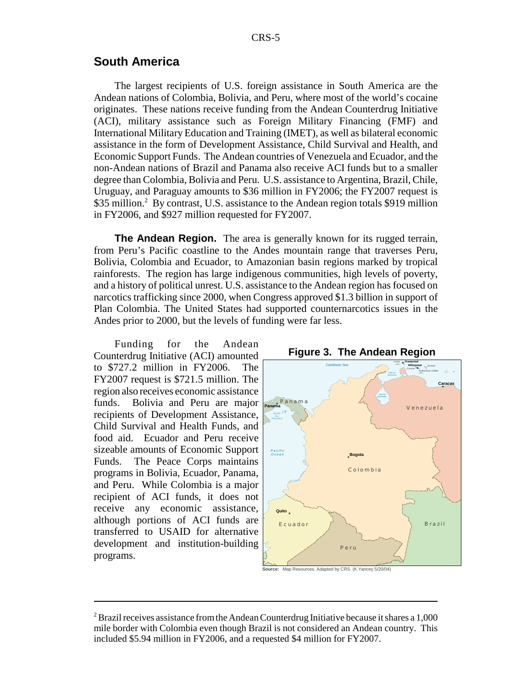## **South America**

The largest recipients of U.S. foreign assistance in South America are the Andean nations of Colombia, Bolivia, and Peru, where most of the world's cocaine originates. These nations receive funding from the Andean Counterdrug Initiative (ACI), military assistance such as Foreign Military Financing (FMF) and International Military Education and Training (IMET), as well as bilateral economic assistance in the form of Development Assistance, Child Survival and Health, and Economic Support Funds. The Andean countries of Venezuela and Ecuador, and the non-Andean nations of Brazil and Panama also receive ACI funds but to a smaller degree than Colombia, Bolivia and Peru. U.S. assistance to Argentina, Brazil, Chile, Uruguay, and Paraguay amounts to \$36 million in FY2006; the FY2007 request is \$35 million.<sup>2</sup> By contrast, U.S. assistance to the Andean region totals \$919 million in FY2006, and \$927 million requested for FY2007.

**The Andean Region.** The area is generally known for its rugged terrain, from Peru's Pacific coastline to the Andes mountain range that traverses Peru, Bolivia, Colombia and Ecuador, to Amazonian basin regions marked by tropical rainforests. The region has large indigenous communities, high levels of poverty, and a history of political unrest. U.S. assistance to the Andean region has focused on narcotics trafficking since 2000, when Congress approved \$1.3 billion in support of Plan Colombia. The United States had supported counternarcotics issues in the Andes prior to 2000, but the levels of funding were far less.

Funding for the Andean Counterdrug Initiative (ACI) amounted to \$727.2 million in FY2006. The FY2007 request is \$721.5 million. The region also receives economic assistance funds. Bolivia and Peru are major recipients of Development Assistance, Child Survival and Health Funds, and food aid. Ecuador and Peru receive sizeable amounts of Economic Support Funds. The Peace Corps maintains programs in Bolivia, Ecuador, Panama, and Peru. While Colombia is a major recipient of ACI funds, it does not receive any economic assistance, although portions of ACI funds are transferred to USAID for alternative development and institution-building programs.



**Source:** Map Resources. Adapted by CRS. (K.Yancey 5/20/04)

 $^2$ Brazil receives assistance from the Andean Counterdrug Initiative because it shares a 1,000 mile border with Colombia even though Brazil is not considered an Andean country. This included \$5.94 million in FY2006, and a requested \$4 million for FY2007.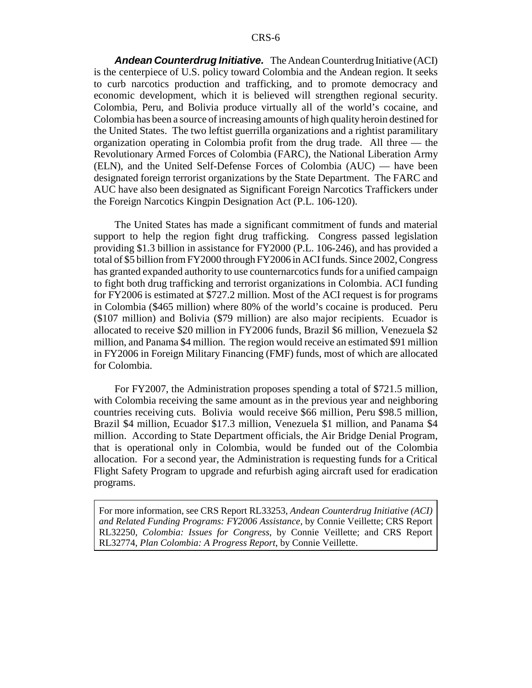*Andean Counterdrug Initiative.* The Andean Counterdrug Initiative (ACI) is the centerpiece of U.S. policy toward Colombia and the Andean region. It seeks to curb narcotics production and trafficking, and to promote democracy and economic development, which it is believed will strengthen regional security. Colombia, Peru, and Bolivia produce virtually all of the world's cocaine, and Colombia has been a source of increasing amounts of high quality heroin destined for the United States. The two leftist guerrilla organizations and a rightist paramilitary organization operating in Colombia profit from the drug trade. All three — the Revolutionary Armed Forces of Colombia (FARC), the National Liberation Army (ELN), and the United Self-Defense Forces of Colombia (AUC) — have been designated foreign terrorist organizations by the State Department. The FARC and AUC have also been designated as Significant Foreign Narcotics Traffickers under the Foreign Narcotics Kingpin Designation Act (P.L. 106-120).

The United States has made a significant commitment of funds and material support to help the region fight drug trafficking. Congress passed legislation providing \$1.3 billion in assistance for FY2000 (P.L. 106-246), and has provided a total of \$5 billion from FY2000 through FY2006 in ACI funds. Since 2002, Congress has granted expanded authority to use counternarcotics funds for a unified campaign to fight both drug trafficking and terrorist organizations in Colombia. ACI funding for FY2006 is estimated at \$727.2 million. Most of the ACI request is for programs in Colombia (\$465 million) where 80% of the world's cocaine is produced. Peru (\$107 million) and Bolivia (\$79 million) are also major recipients. Ecuador is allocated to receive \$20 million in FY2006 funds, Brazil \$6 million, Venezuela \$2 million, and Panama \$4 million. The region would receive an estimated \$91 million in FY2006 in Foreign Military Financing (FMF) funds, most of which are allocated for Colombia.

For FY2007, the Administration proposes spending a total of \$721.5 million, with Colombia receiving the same amount as in the previous year and neighboring countries receiving cuts. Bolivia would receive \$66 million, Peru \$98.5 million, Brazil \$4 million, Ecuador \$17.3 million, Venezuela \$1 million, and Panama \$4 million. According to State Department officials, the Air Bridge Denial Program, that is operational only in Colombia, would be funded out of the Colombia allocation. For a second year, the Administration is requesting funds for a Critical Flight Safety Program to upgrade and refurbish aging aircraft used for eradication programs.

For more information, see CRS Report RL33253, *Andean Counterdrug Initiative (ACI) and Related Funding Programs: FY2006 Assistance*, by Connie Veillette; CRS Report RL32250, *Colombia: Issues for Congress*, by Connie Veillette; and CRS Report RL32774, *Plan Colombia: A Progress Report*, by Connie Veillette.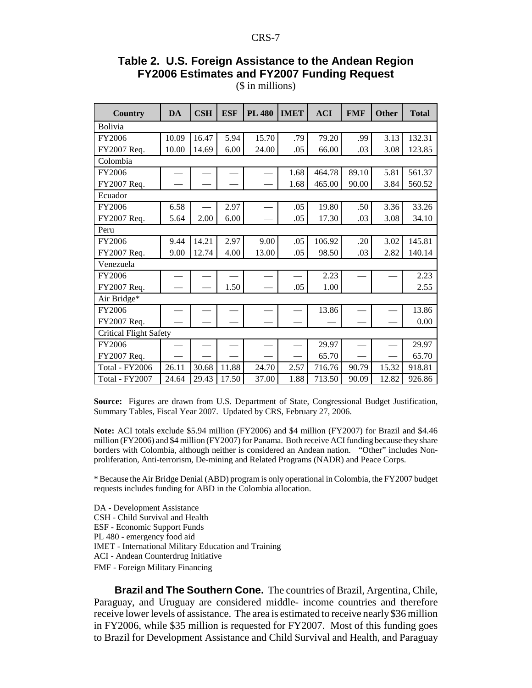## **Table 2. U.S. Foreign Assistance to the Andean Region FY2006 Estimates and FY2007 Funding Request**

(\$ in millions)

| <b>Country</b>                | <b>DA</b> | $\overline{\text{CSH}}$ | <b>ESF</b> | <b>PL 480</b> | <b>IMET</b> | <b>ACI</b> | <b>FMF</b> | <b>Other</b> | <b>Total</b> |
|-------------------------------|-----------|-------------------------|------------|---------------|-------------|------------|------------|--------------|--------------|
| <b>Bolivia</b>                |           |                         |            |               |             |            |            |              |              |
| FY2006                        | 10.09     | 16.47                   | 5.94       | 15.70         | .79         | 79.20      | .99        | 3.13         | 132.31       |
| FY2007 Req.                   | 10.00     | 14.69                   | 6.00       | 24.00         | .05         | 66.00      | .03        | 3.08         | 123.85       |
| Colombia                      |           |                         |            |               |             |            |            |              |              |
| FY2006                        |           |                         |            |               | 1.68        | 464.78     | 89.10      | 5.81         | 561.37       |
| FY2007 Req.                   |           |                         |            |               | 1.68        | 465.00     | 90.00      | 3.84         | 560.52       |
| Ecuador                       |           |                         |            |               |             |            |            |              |              |
| FY2006                        | 6.58      |                         | 2.97       |               | .05         | 19.80      | .50        | 3.36         | 33.26        |
| FY2007 Req.                   | 5.64      | 2.00                    | 6.00       |               | .05         | 17.30      | .03        | 3.08         | 34.10        |
| Peru                          |           |                         |            |               |             |            |            |              |              |
| FY2006                        | 9.44      | 14.21                   | 2.97       | 9.00          | .05         | 106.92     | .20        | 3.02         | 145.81       |
| FY2007 Req.                   | 9.00      | 12.74                   | 4.00       | 13.00         | .05         | 98.50      | .03        | 2.82         | 140.14       |
| Venezuela                     |           |                         |            |               |             |            |            |              |              |
| FY2006                        |           |                         |            |               |             | 2.23       |            |              | 2.23         |
| FY2007 Req.                   |           |                         | 1.50       |               | .05         | 1.00       |            |              | 2.55         |
| Air Bridge*                   |           |                         |            |               |             |            |            |              |              |
| FY2006                        |           |                         |            |               |             | 13.86      |            |              | 13.86        |
| FY2007 Req.                   |           |                         |            |               |             |            |            |              | 0.00         |
| <b>Critical Flight Safety</b> |           |                         |            |               |             |            |            |              |              |
| FY2006                        |           |                         |            |               |             | 29.97      |            |              | 29.97        |
| FY2007 Req.                   |           |                         |            |               |             | 65.70      |            |              | 65.70        |
| Total - FY2006                | 26.11     | 30.68                   | 11.88      | 24.70         | 2.57        | 716.76     | 90.79      | 15.32        | 918.81       |
| Total - FY2007                | 24.64     | 29.43                   | 17.50      | 37.00         | 1.88        | 713.50     | 90.09      | 12.82        | 926.86       |

**Source:** Figures are drawn from U.S. Department of State, Congressional Budget Justification, Summary Tables, Fiscal Year 2007. Updated by CRS, February 27, 2006.

**Note:** ACI totals exclude \$5.94 million (FY2006) and \$4 million (FY2007) for Brazil and \$4.46 million (FY2006) and \$4 million (FY2007) for Panama. Both receive ACI funding because they share borders with Colombia, although neither is considered an Andean nation. "Other" includes Nonproliferation, Anti-terrorism, De-mining and Related Programs (NADR) and Peace Corps.

\* Because the Air Bridge Denial (ABD) program is only operational in Colombia, the FY2007 budget requests includes funding for ABD in the Colombia allocation.

DA - Development Assistance CSH - Child Survival and Health ESF - Economic Support Funds PL 480 - emergency food aid IMET - International Military Education and Training ACI - Andean Counterdrug Initiative FMF - Foreign Military Financing

**Brazil and The Southern Cone.** The countries of Brazil, Argentina, Chile, Paraguay, and Uruguay are considered middle- income countries and therefore receive lower levels of assistance. The area is estimated to receive nearly \$36 million in FY2006, while \$35 million is requested for FY2007. Most of this funding goes to Brazil for Development Assistance and Child Survival and Health, and Paraguay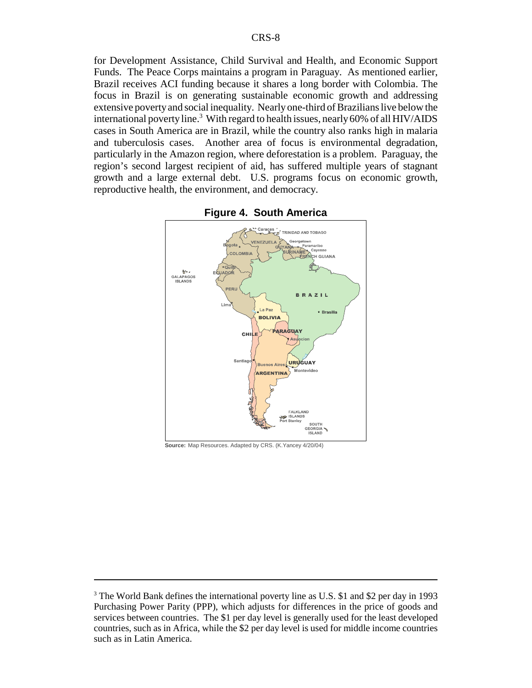for Development Assistance, Child Survival and Health, and Economic Support Funds. The Peace Corps maintains a program in Paraguay. As mentioned earlier, Brazil receives ACI funding because it shares a long border with Colombia. The focus in Brazil is on generating sustainable economic growth and addressing extensive poverty and social inequality. Nearly one-third of Brazilians live below the international poverty line.<sup>3</sup> With regard to health issues, nearly 60% of all HIV/AIDS cases in South America are in Brazil, while the country also ranks high in malaria and tuberculosis cases. Another area of focus is environmental degradation, particularly in the Amazon region, where deforestation is a problem. Paraguay, the region's second largest recipient of aid, has suffered multiple years of stagnant growth and a large external debt. U.S. programs focus on economic growth, reproductive health, the environment, and democracy.





**Source:** Map Resources. Adapted by CRS. (K.Yancey 4/20/04)

<sup>&</sup>lt;sup>3</sup> The World Bank defines the international poverty line as U.S. \$1 and \$2 per day in 1993 Purchasing Power Parity (PPP), which adjusts for differences in the price of goods and services between countries. The \$1 per day level is generally used for the least developed countries, such as in Africa, while the \$2 per day level is used for middle income countries such as in Latin America.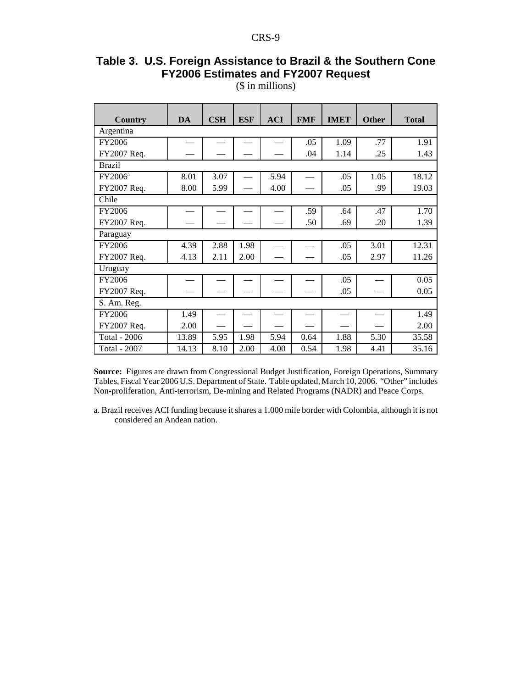## **Table 3. U.S. Foreign Assistance to Brazil & the Southern Cone FY2006 Estimates and FY2007 Request**

(\$ in millions)

| <b>Country</b>      | DA    | $\mathbf{CSH}$ | <b>ESF</b> | <b>ACI</b> | <b>FMF</b> | <b>IMET</b> | <b>Other</b> | <b>Total</b> |  |
|---------------------|-------|----------------|------------|------------|------------|-------------|--------------|--------------|--|
|                     |       |                |            |            |            |             |              |              |  |
| Argentina           |       |                |            |            |            |             |              |              |  |
| FY2006              |       |                |            |            | .05        | 1.09        | .77          | 1.91         |  |
| FY2007 Req.         |       |                |            |            | .04        | 1.14        | .25          | 1.43         |  |
| <b>Brazil</b>       |       |                |            |            |            |             |              |              |  |
| FY2006 <sup>a</sup> | 8.01  | 3.07           |            | 5.94       |            | .05         | 1.05         | 18.12        |  |
| FY2007 Req.         | 8.00  | 5.99           |            | 4.00       |            | .05         | .99          | 19.03        |  |
| Chile               |       |                |            |            |            |             |              |              |  |
| FY2006              |       |                |            |            | .59        | .64         | .47          | 1.70         |  |
| FY2007 Req.         |       |                |            |            | .50        | .69         | .20          | 1.39         |  |
| Paraguay            |       |                |            |            |            |             |              |              |  |
| FY2006              | 4.39  | 2.88           | 1.98       |            |            | .05         | 3.01         | 12.31        |  |
| FY2007 Req.         | 4.13  | 2.11           | 2.00       |            |            | .05         | 2.97         | 11.26        |  |
| Uruguay             |       |                |            |            |            |             |              |              |  |
| FY2006              |       |                |            |            |            | .05         |              | 0.05         |  |
| FY2007 Req.         |       |                |            |            |            | .05         |              | 0.05         |  |
| S. Am. Reg.         |       |                |            |            |            |             |              |              |  |
| FY2006              | 1.49  |                |            |            |            |             |              | 1.49         |  |
| FY2007 Req.         | 2.00  |                |            |            |            |             |              | 2.00         |  |
| Total - 2006        | 13.89 | 5.95           | 1.98       | 5.94       | 0.64       | 1.88        | 5.30         | 35.58        |  |
| <b>Total - 2007</b> | 14.13 | 8.10           | 2.00       | 4.00       | 0.54       | 1.98        | 4.41         | 35.16        |  |

**Source:** Figures are drawn from Congressional Budget Justification, Foreign Operations, Summary Tables, Fiscal Year 2006 U.S. Department of State. Table updated, March 10, 2006. "Other" includes Non-proliferation, Anti-terrorism, De-mining and Related Programs (NADR) and Peace Corps.

a. Brazil receives ACI funding because it shares a 1,000 mile border with Colombia, although it is not considered an Andean nation.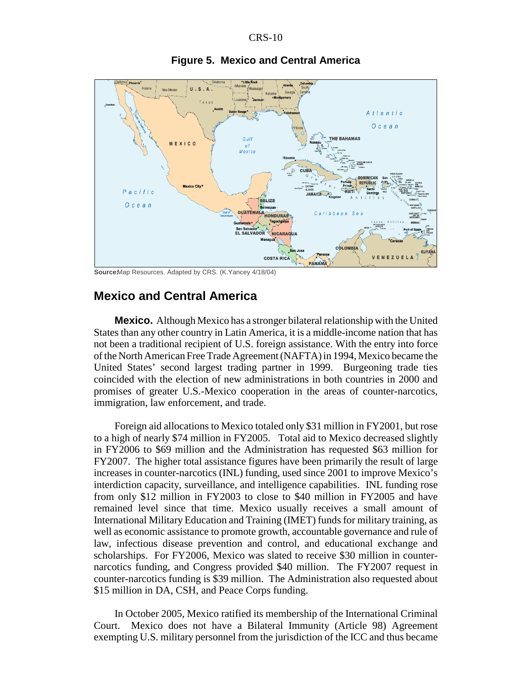

**Figure 5. Mexico and Central America**

**Source**Map Resources. Adapted by CRS. (K.Yancey 4/18/04)

## **Mexico and Central America**

**Mexico.** Although Mexico has a stronger bilateral relationship with the United States than any other country in Latin America, it is a middle-income nation that has not been a traditional recipient of U.S. foreign assistance. With the entry into force of the North American Free Trade Agreement (NAFTA) in 1994, Mexico became the United States' second largest trading partner in 1999. Burgeoning trade ties coincided with the election of new administrations in both countries in 2000 and promises of greater U.S.-Mexico cooperation in the areas of counter-narcotics, immigration, law enforcement, and trade.

Foreign aid allocations to Mexico totaled only \$31 million in FY2001, but rose to a high of nearly \$74 million in FY2005. Total aid to Mexico decreased slightly in FY2006 to \$69 million and the Administration has requested \$63 million for FY2007. The higher total assistance figures have been primarily the result of large increases in counter-narcotics (INL) funding, used since 2001 to improve Mexico's interdiction capacity, surveillance, and intelligence capabilities. INL funding rose from only \$12 million in FY2003 to close to \$40 million in FY2005 and have remained level since that time. Mexico usually receives a small amount of International Military Education and Training (IMET) funds for military training, as well as economic assistance to promote growth, accountable governance and rule of law, infectious disease prevention and control, and educational exchange and scholarships. For FY2006, Mexico was slated to receive \$30 million in counternarcotics funding, and Congress provided \$40 million. The FY2007 request in counter-narcotics funding is \$39 million. The Administration also requested about \$15 million in DA, CSH, and Peace Corps funding.

In October 2005, Mexico ratified its membership of the International Criminal Court. Mexico does not have a Bilateral Immunity (Article 98) Agreement exempting U.S. military personnel from the jurisdiction of the ICC and thus became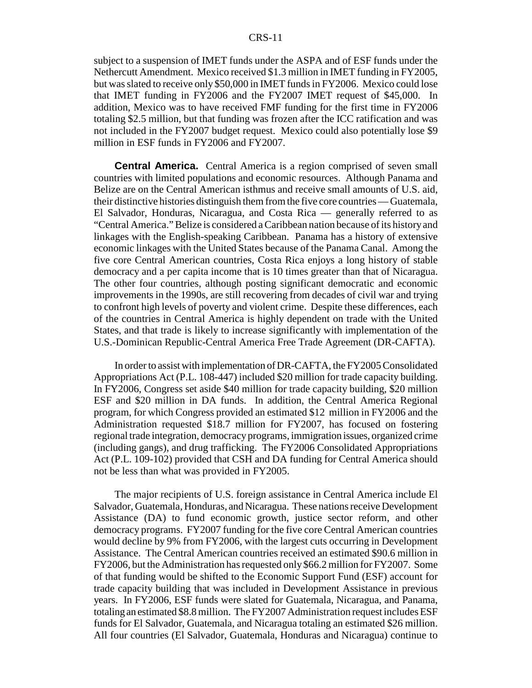subject to a suspension of IMET funds under the ASPA and of ESF funds under the Nethercutt Amendment. Mexico received \$1.3 million in IMET funding in FY2005, but was slated to receive only \$50,000 in IMET funds in FY2006. Mexico could lose that IMET funding in FY2006 and the FY2007 IMET request of \$45,000. In addition, Mexico was to have received FMF funding for the first time in FY2006 totaling \$2.5 million, but that funding was frozen after the ICC ratification and was not included in the FY2007 budget request. Mexico could also potentially lose \$9 million in ESF funds in FY2006 and FY2007.

**Central America.** Central America is a region comprised of seven small countries with limited populations and economic resources. Although Panama and Belize are on the Central American isthmus and receive small amounts of U.S. aid, their distinctive histories distinguish them from the five core countries — Guatemala, El Salvador, Honduras, Nicaragua, and Costa Rica — generally referred to as "Central America." Belize is considered a Caribbean nation because of its history and linkages with the English-speaking Caribbean. Panama has a history of extensive economic linkages with the United States because of the Panama Canal. Among the five core Central American countries, Costa Rica enjoys a long history of stable democracy and a per capita income that is 10 times greater than that of Nicaragua. The other four countries, although posting significant democratic and economic improvements in the 1990s, are still recovering from decades of civil war and trying to confront high levels of poverty and violent crime. Despite these differences, each of the countries in Central America is highly dependent on trade with the United States, and that trade is likely to increase significantly with implementation of the U.S.-Dominican Republic-Central America Free Trade Agreement (DR-CAFTA).

In order to assist with implementation of DR-CAFTA, the FY2005 Consolidated Appropriations Act (P.L. 108-447) included \$20 million for trade capacity building. In FY2006, Congress set aside \$40 million for trade capacity building, \$20 million ESF and \$20 million in DA funds. In addition, the Central America Regional program, for which Congress provided an estimated \$12 million in FY2006 and the Administration requested \$18.7 million for FY2007, has focused on fostering regional trade integration, democracy programs, immigration issues, organized crime (including gangs), and drug trafficking. The FY2006 Consolidated Appropriations Act (P.L. 109-102) provided that CSH and DA funding for Central America should not be less than what was provided in FY2005.

The major recipients of U.S. foreign assistance in Central America include El Salvador, Guatemala, Honduras, and Nicaragua. These nations receive Development Assistance (DA) to fund economic growth, justice sector reform, and other democracy programs. FY2007 funding for the five core Central American countries would decline by 9% from FY2006, with the largest cuts occurring in Development Assistance. The Central American countries received an estimated \$90.6 million in FY2006, but the Administration has requested only \$66.2 million for FY2007. Some of that funding would be shifted to the Economic Support Fund (ESF) account for trade capacity building that was included in Development Assistance in previous years. In FY2006, ESF funds were slated for Guatemala, Nicaragua, and Panama, totaling an estimated \$8.8 million. The FY2007 Administration request includes ESF funds for El Salvador, Guatemala, and Nicaragua totaling an estimated \$26 million. All four countries (El Salvador, Guatemala, Honduras and Nicaragua) continue to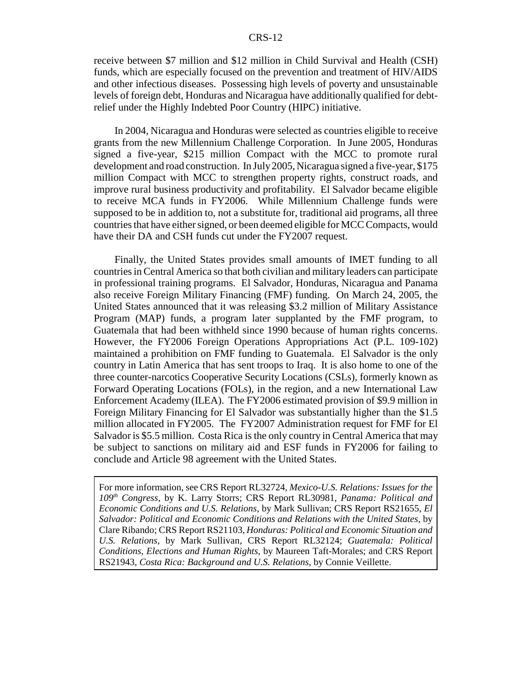receive between \$7 million and \$12 million in Child Survival and Health (CSH) funds, which are especially focused on the prevention and treatment of HIV/AIDS and other infectious diseases. Possessing high levels of poverty and unsustainable levels of foreign debt, Honduras and Nicaragua have additionally qualified for debtrelief under the Highly Indebted Poor Country (HIPC) initiative.

In 2004, Nicaragua and Honduras were selected as countries eligible to receive grants from the new Millennium Challenge Corporation. In June 2005, Honduras signed a five-year, \$215 million Compact with the MCC to promote rural development and road construction. In July 2005, Nicaragua signed a five-year, \$175 million Compact with MCC to strengthen property rights, construct roads, and improve rural business productivity and profitability. El Salvador became eligible to receive MCA funds in FY2006. While Millennium Challenge funds were supposed to be in addition to, not a substitute for, traditional aid programs, all three countries that have either signed, or been deemed eligible for MCC Compacts, would have their DA and CSH funds cut under the FY2007 request.

Finally, the United States provides small amounts of IMET funding to all countries in Central America so that both civilian and military leaders can participate in professional training programs. El Salvador, Honduras, Nicaragua and Panama also receive Foreign Military Financing (FMF) funding. On March 24, 2005, the United States announced that it was releasing \$3.2 million of Military Assistance Program (MAP) funds, a program later supplanted by the FMF program, to Guatemala that had been withheld since 1990 because of human rights concerns. However, the FY2006 Foreign Operations Appropriations Act (P.L. 109-102) maintained a prohibition on FMF funding to Guatemala. El Salvador is the only country in Latin America that has sent troops to Iraq. It is also home to one of the three counter-narcotics Cooperative Security Locations (CSLs), formerly known as Forward Operating Locations (FOLs), in the region, and a new International Law Enforcement Academy (ILEA). The FY2006 estimated provision of \$9.9 million in Foreign Military Financing for El Salvador was substantially higher than the \$1.5 million allocated in FY2005. The FY2007 Administration request for FMF for El Salvador is \$5.5 million. Costa Rica is the only country in Central America that may be subject to sanctions on military aid and ESF funds in FY2006 for failing to conclude and Article 98 agreement with the United States.

For more information, see CRS Report RL32724, *Mexico-U.S. Relations: Issues for the 109th Congress*, by K. Larry Storrs; CRS Report RL30981, *Panama: Political and Economic Conditions and U.S. Relations*, by Mark Sullivan; CRS Report RS21655, *El Salvador: Political and Economic Conditions and Relations with the United States*, by Clare Ribando; CRS Report RS21103, *Honduras: Political and Economic Situation and U.S. Relations*, by Mark Sullivan, CRS Report RL32124; *Guatemala: Political Conditions, Elections and Human Rights*, by Maureen Taft-Morales; and CRS Report RS21943, *Costa Rica: Background and U.S. Relations*, by Connie Veillette.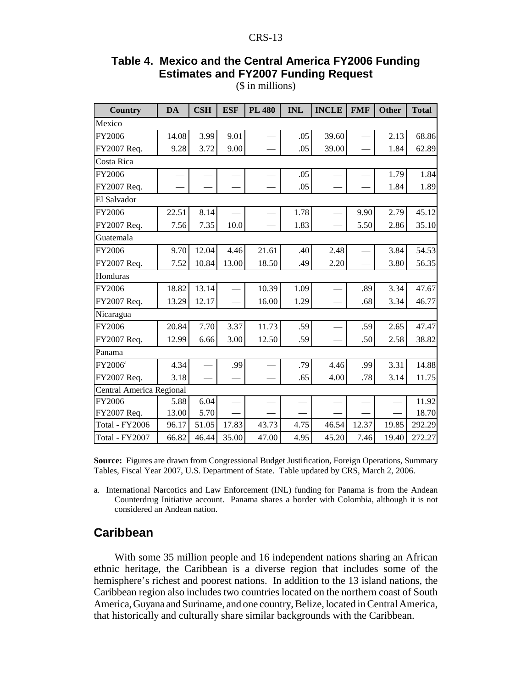## **Table 4. Mexico and the Central America FY2006 Funding Estimates and FY2007 Funding Request**

(\$ in millions)

| <b>Country</b>           | <b>DA</b> | <b>CSH</b> | <b>ESF</b> | <b>PL 480</b> | <b>INL</b> | <b>INCLE</b> | <b>FMF</b> | <b>Other</b> | <b>Total</b> |  |  |
|--------------------------|-----------|------------|------------|---------------|------------|--------------|------------|--------------|--------------|--|--|
| Mexico                   |           |            |            |               |            |              |            |              |              |  |  |
| FY2006                   | 14.08     | 3.99       | 9.01       |               | .05        | 39.60        |            | 2.13         | 68.86        |  |  |
| FY2007 Req.              | 9.28      | 3.72       | 9.00       |               | .05        | 39.00        |            | 1.84         | 62.89        |  |  |
| Costa Rica               |           |            |            |               |            |              |            |              |              |  |  |
| FY2006                   |           |            |            |               | .05        |              |            | 1.79         | 1.84         |  |  |
| FY2007 Req.              |           |            |            |               | .05        |              |            | 1.84         | 1.89         |  |  |
| El Salvador              |           |            |            |               |            |              |            |              |              |  |  |
| FY2006                   | 22.51     | 8.14       |            |               | 1.78       |              | 9.90       | 2.79         | 45.12        |  |  |
| FY2007 Req.              | 7.56      | 7.35       | 10.0       |               | 1.83       |              | 5.50       | 2.86         | 35.10        |  |  |
| Guatemala                |           |            |            |               |            |              |            |              |              |  |  |
| <b>FY2006</b>            | 9.70      | 12.04      | 4.46       | 21.61         | .40        | 2.48         |            | 3.84         | 54.53        |  |  |
| FY2007 Req.              | 7.52      | 10.84      | 13.00      | 18.50         | .49        | 2.20         |            | 3.80         | 56.35        |  |  |
| Honduras                 |           |            |            |               |            |              |            |              |              |  |  |
| FY2006                   | 18.82     | 13.14      |            | 10.39         | 1.09       |              | .89        | 3.34         | 47.67        |  |  |
| FY2007 Req.              | 13.29     | 12.17      |            | 16.00         | 1.29       |              | .68        | 3.34         | 46.77        |  |  |
| Nicaragua                |           |            |            |               |            |              |            |              |              |  |  |
| FY2006                   | 20.84     | 7.70       | 3.37       | 11.73         | .59        |              | .59        | 2.65         | 47.47        |  |  |
| FY2007 Req.              | 12.99     | 6.66       | 3.00       | 12.50         | .59        |              | .50        | 2.58         | 38.82        |  |  |
| Panama                   |           |            |            |               |            |              |            |              |              |  |  |
| FY2006 <sup>a</sup>      | 4.34      |            | .99        |               | .79        | 4.46         | .99        | 3.31         | 14.88        |  |  |
| FY2007 Req.              | 3.18      |            |            |               | .65        | 4.00         | .78        | 3.14         | 11.75        |  |  |
| Central America Regional |           |            |            |               |            |              |            |              |              |  |  |
| FY2006                   | 5.88      | 6.04       |            |               |            |              |            |              | 11.92        |  |  |
| FY2007 Req.              | 13.00     | 5.70       |            |               |            |              |            |              | 18.70        |  |  |
| <b>Total - FY2006</b>    | 96.17     | 51.05      | 17.83      | 43.73         | 4.75       | 46.54        | 12.37      | 19.85        | 292.29       |  |  |
| Total - FY2007           | 66.82     | 46.44      | 35.00      | 47.00         | 4.95       | 45.20        | 7.46       | 19.40        | 272.27       |  |  |

**Source:** Figures are drawn from Congressional Budget Justification, Foreign Operations, Summary Tables, Fiscal Year 2007, U.S. Department of State. Table updated by CRS, March 2, 2006.

a. International Narcotics and Law Enforcement (INL) funding for Panama is from the Andean Counterdrug Initiative account. Panama shares a border with Colombia, although it is not considered an Andean nation.

## **Caribbean**

With some 35 million people and 16 independent nations sharing an African ethnic heritage, the Caribbean is a diverse region that includes some of the hemisphere's richest and poorest nations. In addition to the 13 island nations, the Caribbean region also includes two countries located on the northern coast of South America, Guyana and Suriname, and one country, Belize, located in Central America, that historically and culturally share similar backgrounds with the Caribbean.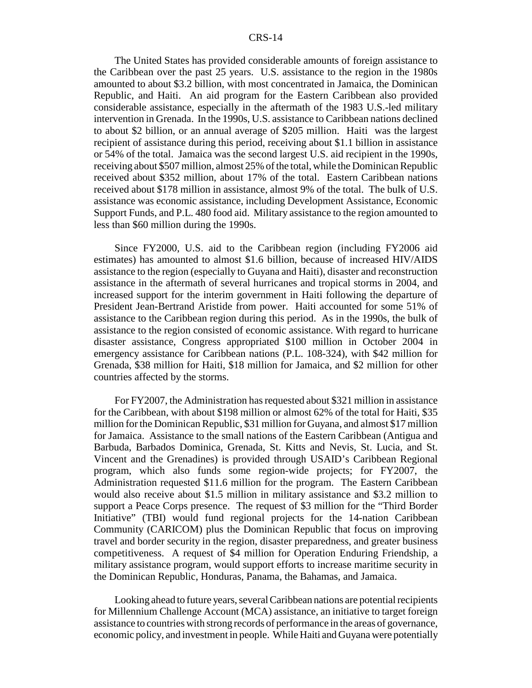The United States has provided considerable amounts of foreign assistance to the Caribbean over the past 25 years. U.S. assistance to the region in the 1980s amounted to about \$3.2 billion, with most concentrated in Jamaica, the Dominican Republic, and Haiti. An aid program for the Eastern Caribbean also provided considerable assistance, especially in the aftermath of the 1983 U.S.-led military intervention in Grenada. In the 1990s, U.S. assistance to Caribbean nations declined to about \$2 billion, or an annual average of \$205 million. Haiti was the largest recipient of assistance during this period, receiving about \$1.1 billion in assistance or 54% of the total. Jamaica was the second largest U.S. aid recipient in the 1990s, receiving about \$507 million, almost 25% of the total, while the Dominican Republic received about \$352 million, about 17% of the total. Eastern Caribbean nations received about \$178 million in assistance, almost 9% of the total. The bulk of U.S. assistance was economic assistance, including Development Assistance, Economic Support Funds, and P.L. 480 food aid. Military assistance to the region amounted to less than \$60 million during the 1990s.

Since FY2000, U.S. aid to the Caribbean region (including FY2006 aid estimates) has amounted to almost \$1.6 billion, because of increased HIV/AIDS assistance to the region (especially to Guyana and Haiti), disaster and reconstruction assistance in the aftermath of several hurricanes and tropical storms in 2004, and increased support for the interim government in Haiti following the departure of President Jean-Bertrand Aristide from power. Haiti accounted for some 51% of assistance to the Caribbean region during this period. As in the 1990s, the bulk of assistance to the region consisted of economic assistance. With regard to hurricane disaster assistance, Congress appropriated \$100 million in October 2004 in emergency assistance for Caribbean nations (P.L. 108-324), with \$42 million for Grenada, \$38 million for Haiti, \$18 million for Jamaica, and \$2 million for other countries affected by the storms.

For FY2007, the Administration has requested about \$321 million in assistance for the Caribbean, with about \$198 million or almost 62% of the total for Haiti, \$35 million for the Dominican Republic, \$31 million for Guyana, and almost \$17 million for Jamaica. Assistance to the small nations of the Eastern Caribbean (Antigua and Barbuda, Barbados Dominica, Grenada, St. Kitts and Nevis, St. Lucia, and St. Vincent and the Grenadines) is provided through USAID's Caribbean Regional program, which also funds some region-wide projects; for FY2007, the Administration requested \$11.6 million for the program. The Eastern Caribbean would also receive about \$1.5 million in military assistance and \$3.2 million to support a Peace Corps presence. The request of \$3 million for the "Third Border Initiative" (TBI) would fund regional projects for the 14-nation Caribbean Community (CARICOM) plus the Dominican Republic that focus on improving travel and border security in the region, disaster preparedness, and greater business competitiveness. A request of \$4 million for Operation Enduring Friendship, a military assistance program, would support efforts to increase maritime security in the Dominican Republic, Honduras, Panama, the Bahamas, and Jamaica.

Looking ahead to future years, several Caribbean nations are potential recipients for Millennium Challenge Account (MCA) assistance, an initiative to target foreign assistance to countries with strong records of performance in the areas of governance, economic policy, and investment in people. While Haiti and Guyana were potentially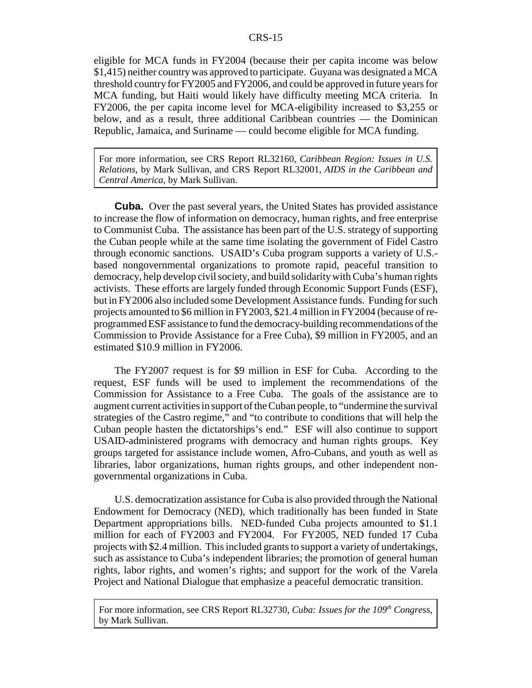eligible for MCA funds in FY2004 (because their per capita income was below \$1,415) neither country was approved to participate. Guyana was designated a MCA threshold country for FY2005 and FY2006, and could be approved in future years for MCA funding, but Haiti would likely have difficulty meeting MCA criteria. In FY2006, the per capita income level for MCA-eligibility increased to \$3,255 or below, and as a result, three additional Caribbean countries — the Dominican Republic, Jamaica, and Suriname — could become eligible for MCA funding.

For more information, see CRS Report RL32160, *Caribbean Region: Issues in U.S. Relations,* by Mark Sullivan, and CRS Report RL32001, *AIDS in the Caribbean and Central America*, by Mark Sullivan.

**Cuba.** Over the past several years, the United States has provided assistance to increase the flow of information on democracy, human rights, and free enterprise to Communist Cuba. The assistance has been part of the U.S. strategy of supporting the Cuban people while at the same time isolating the government of Fidel Castro through economic sanctions. USAID's Cuba program supports a variety of U.S. based nongovernmental organizations to promote rapid, peaceful transition to democracy, help develop civil society, and build solidarity with Cuba's human rights activists. These efforts are largely funded through Economic Support Funds (ESF), but in FY2006 also included some Development Assistance funds. Funding for such projects amounted to \$6 million in FY2003, \$21.4 million in FY2004 (because of reprogrammed ESF assistance to fund the democracy-building recommendations of the Commission to Provide Assistance for a Free Cuba), \$9 million in FY2005, and an estimated \$10.9 million in FY2006.

The FY2007 request is for \$9 million in ESF for Cuba. According to the request, ESF funds will be used to implement the recommendations of the Commission for Assistance to a Free Cuba. The goals of the assistance are to augment current activities in support of the Cuban people, to "undermine the survival strategies of the Castro regime," and "to contribute to conditions that will help the Cuban people hasten the dictatorships's end." ESF will also continue to support USAID-administered programs with democracy and human rights groups. Key groups targeted for assistance include women, Afro-Cubans, and youth as well as libraries, labor organizations, human rights groups, and other independent nongovernmental organizations in Cuba.

U.S. democratization assistance for Cuba is also provided through the National Endowment for Democracy (NED), which traditionally has been funded in State Department appropriations bills. NED-funded Cuba projects amounted to \$1.1 million for each of FY2003 and FY2004. For FY2005, NED funded 17 Cuba projects with \$2.4 million. This included grants to support a variety of undertakings, such as assistance to Cuba's independent libraries; the promotion of general human rights, labor rights, and women's rights; and support for the work of the Varela Project and National Dialogue that emphasize a peaceful democratic transition.

For more information, see CRS Report RL32730, *Cuba: Issues for the 109<sup>th</sup> Congress*, by Mark Sullivan.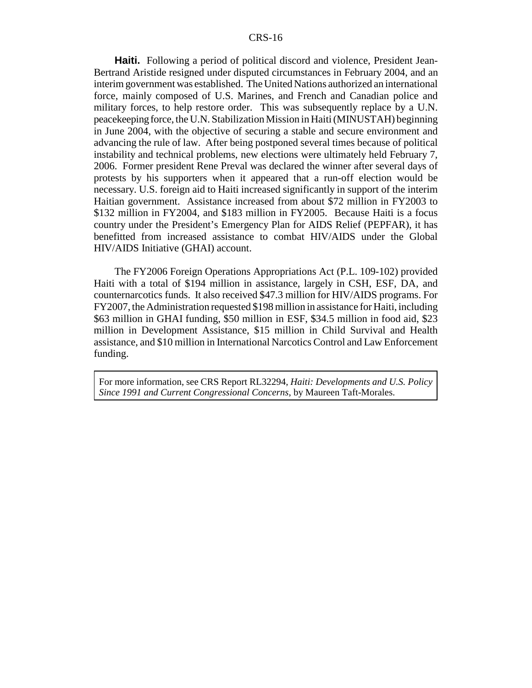**Haiti.** Following a period of political discord and violence, President Jean-Bertrand Aristide resigned under disputed circumstances in February 2004, and an interim government was established. The United Nations authorized an international force, mainly composed of U.S. Marines, and French and Canadian police and military forces, to help restore order. This was subsequently replace by a U.N. peacekeeping force, the U.N. Stabilization Mission in Haiti (MINUSTAH) beginning in June 2004, with the objective of securing a stable and secure environment and advancing the rule of law. After being postponed several times because of political instability and technical problems, new elections were ultimately held February 7, 2006. Former president Rene Preval was declared the winner after several days of protests by his supporters when it appeared that a run-off election would be necessary. U.S. foreign aid to Haiti increased significantly in support of the interim Haitian government. Assistance increased from about \$72 million in FY2003 to \$132 million in FY2004, and \$183 million in FY2005. Because Haiti is a focus country under the President's Emergency Plan for AIDS Relief (PEPFAR), it has benefitted from increased assistance to combat HIV/AIDS under the Global HIV/AIDS Initiative (GHAI) account.

The FY2006 Foreign Operations Appropriations Act (P.L. 109-102) provided Haiti with a total of \$194 million in assistance, largely in CSH, ESF, DA, and counternarcotics funds. It also received \$47.3 million for HIV/AIDS programs. For FY2007, the Administration requested \$198 million in assistance for Haiti, including \$63 million in GHAI funding, \$50 million in ESF, \$34.5 million in food aid, \$23 million in Development Assistance, \$15 million in Child Survival and Health assistance, and \$10 million in International Narcotics Control and Law Enforcement funding.

For more information, see CRS Report RL32294, *Haiti: Developments and U.S. Policy Since 1991 and Current Congressional Concerns*, by Maureen Taft-Morales.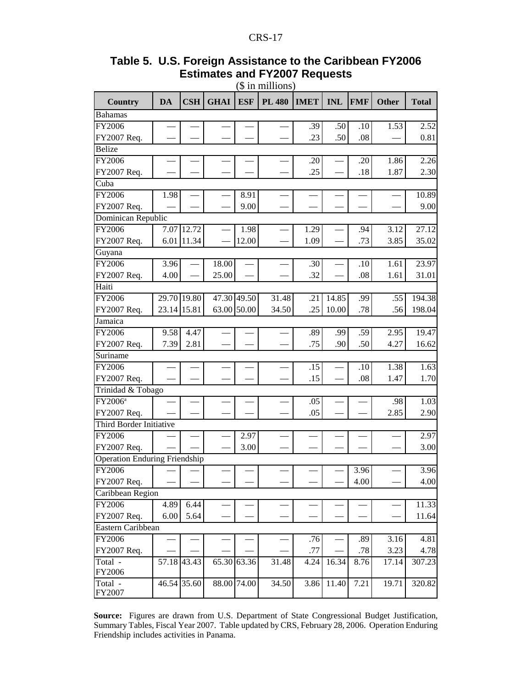|                                      |             |             |             |             | (ф ні пішнопу) |             |            |            |       |              |
|--------------------------------------|-------------|-------------|-------------|-------------|----------------|-------------|------------|------------|-------|--------------|
| Country                              | <b>DA</b>   | <b>CSH</b>  | <b>GHAI</b> | <b>ESF</b>  | <b>PL 480</b>  | <b>IMET</b> | <b>INL</b> | <b>FMF</b> | Other | <b>Total</b> |
| <b>Bahamas</b>                       |             |             |             |             |                |             |            |            |       |              |
| FY2006                               |             |             |             |             |                | .39         | .50        | .10        | 1.53  | 2.52         |
| FY2007 Req.                          |             |             |             |             |                | .23         | .50        | .08        |       | 0.81         |
| <b>Belize</b>                        |             |             |             |             |                |             |            |            |       |              |
| FY2006                               |             |             |             |             |                | .20         |            | .20        | 1.86  | 2.26         |
| FY2007 Req.                          |             |             |             |             |                | .25         |            | .18        | 1.87  | 2.30         |
| Cuba                                 |             |             |             |             |                |             |            |            |       |              |
| FY2006                               | 1.98        |             |             | 8.91        |                |             |            |            |       | 10.89        |
| FY2007 Req.                          |             |             |             | 9.00        |                |             |            |            |       | 9.00         |
| Dominican Republic                   |             |             |             |             |                |             |            |            |       |              |
| FY2006                               |             | 7.07 12.72  |             | 1.98        |                | 1.29        |            | .94        | 3.12  | 27.12        |
| FY2007 Req.                          |             | 6.01 11.34  |             | 12.00       |                | 1.09        |            | .73        | 3.85  | 35.02        |
| Guyana                               |             |             |             |             |                |             |            |            |       |              |
| FY2006                               | 3.96        |             | 18.00       |             |                | .30         |            | .10        | 1.61  | 23.97        |
| FY2007 Req.                          | 4.00        |             | 25.00       |             |                | .32         |            | .08        | 1.61  | 31.01        |
| Haiti                                |             |             |             |             |                |             |            |            |       |              |
| FY2006                               |             | 29.70 19.80 | 47.30 49.50 |             | 31.48          | .21         | 14.85      | .99        | .55   | 194.38       |
| FY2007 Req.                          | 23.14 15.81 |             | 63.00       | 50.00       | 34.50          | .25         | 10.00      | .78        | .56   | 198.04       |
| Jamaica                              |             |             |             |             |                |             |            |            |       |              |
| FY2006                               | 9.58        | 4.47        |             |             |                | .89         | .99        | .59        | 2.95  | 19.47        |
| FY2007 Req.                          | 7.39        | 2.81        |             |             |                | .75         | .90        | .50        | 4.27  | 16.62        |
| Suriname                             |             |             |             |             |                |             |            |            |       |              |
| FY2006                               |             |             |             |             |                | .15         |            | .10        | 1.38  | 1.63         |
| FY2007 Req.                          |             |             |             |             |                | .15         |            | .08        | 1.47  | 1.70         |
| Trinidad & Tobago                    |             |             |             |             |                |             |            |            |       |              |
| FY2006 <sup>a</sup>                  |             |             |             |             |                | .05         |            |            | .98   | 1.03         |
| FY2007 Req.                          |             |             |             |             |                | .05         |            |            | 2.85  | 2.90         |
| Third Border Initiative              |             |             |             |             |                |             |            |            |       |              |
| FY2006                               |             |             |             | 2.97        |                |             |            |            |       | 2.97         |
| FY2007 Req.                          |             |             |             | 3.00        |                |             |            |            |       | 3.00         |
| <b>Operation Enduring Friendship</b> |             |             |             |             |                |             |            |            |       |              |
| FY2006                               |             |             |             |             |                |             |            | 3.96       |       | 3.96         |
| FY2007 Req.                          |             |             |             |             |                |             |            | 4.00       |       | 4.00         |
| Caribbean Region                     |             |             |             |             |                |             |            |            |       |              |
| FY2006                               | 4.89        | 6.44        |             |             |                |             |            |            |       | 11.33        |
| FY2007 Req.                          | 6.00        | 5.64        |             |             |                |             |            |            |       | 11.64        |
| Eastern Caribbean                    |             |             |             |             |                |             |            |            |       |              |
| FY2006                               |             |             |             |             |                | .76         |            | .89        | 3.16  | 4.81         |
| FY2007 Req.                          |             |             |             |             |                | .77         |            | .78        | 3.23  | 4.78         |
| Total -                              |             | 57.18 43.43 |             | 65.30 63.36 | 31.48          | 4.24        | 16.34      | 8.76       | 17.14 | 307.23       |
| FY2006                               |             |             |             |             |                |             |            |            |       |              |
| Total -<br>FY2007                    |             | 46.54 35.60 | 88.00       | 74.00       | 34.50          | 3.86        | 11.40      | 7.21       | 19.71 | 320.82       |

#### **Table 5. U.S. Foreign Assistance to the Caribbean FY2006 Estimates and FY2007 Requests** (\$ in millions)

**Source:** Figures are drawn from U.S. Department of State Congressional Budget Justification, Summary Tables, Fiscal Year 2007. Table updated by CRS, February 28, 2006. Operation Enduring Friendship includes activities in Panama.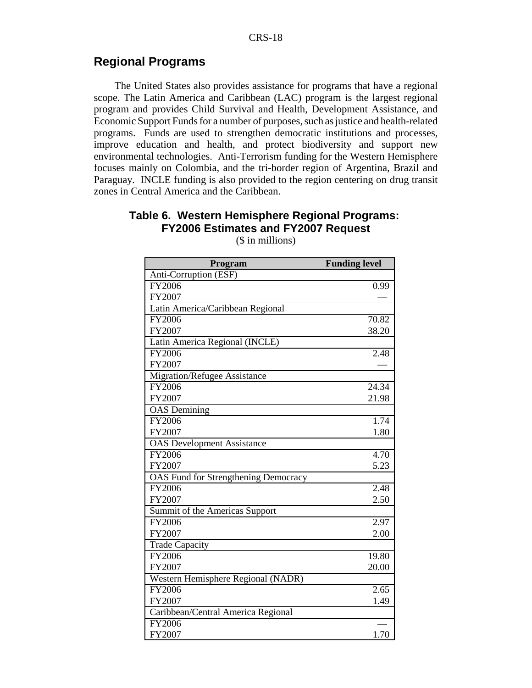## **Regional Programs**

The United States also provides assistance for programs that have a regional scope. The Latin America and Caribbean (LAC) program is the largest regional program and provides Child Survival and Health, Development Assistance, and Economic Support Funds for a number of purposes, such as justice and health-related programs. Funds are used to strengthen democratic institutions and processes, improve education and health, and protect biodiversity and support new environmental technologies. Anti-Terrorism funding for the Western Hemisphere focuses mainly on Colombia, and the tri-border region of Argentina, Brazil and Paraguay. INCLE funding is also provided to the region centering on drug transit zones in Central America and the Caribbean.

#### **Table 6. Western Hemisphere Regional Programs: FY2006 Estimates and FY2007 Request**

| Program                                     | <b>Funding level</b> |
|---------------------------------------------|----------------------|
| Anti-Corruption (ESF)                       |                      |
| FY2006                                      | 0.99                 |
| FY2007                                      |                      |
| Latin America/Caribbean Regional            |                      |
| FY2006                                      | 70.82                |
| FY2007                                      | 38.20                |
| Latin America Regional (INCLE)              |                      |
| FY2006                                      | 2.48                 |
| FY2007                                      |                      |
| <b>Migration/Refugee Assistance</b>         |                      |
| FY2006                                      | 24.34                |
| FY2007                                      | 21.98                |
| <b>OAS</b> Demining                         |                      |
| FY2006                                      | 1.74                 |
| FY2007                                      | 1.80                 |
| <b>OAS</b> Development Assistance           |                      |
| FY2006                                      | 4.70                 |
| FY2007                                      | 5.23                 |
| <b>OAS Fund for Strengthening Democracy</b> |                      |
| FY2006                                      | 2.48                 |
| FY2007                                      | 2.50                 |
| Summit of the Americas Support              |                      |
| FY2006                                      | 2.97                 |
| FY2007                                      | 2.00                 |
| <b>Trade Capacity</b>                       |                      |
| FY2006                                      | 19.80                |
| FY2007                                      | 20.00                |
| Western Hemisphere Regional (NADR)          |                      |
| <b>FY2006</b>                               | 2.65                 |
| FY2007                                      | 1.49                 |
| Caribbean/Central America Regional          |                      |
| FY2006                                      |                      |
| FY2007                                      | 1.70                 |

(\$ in millions)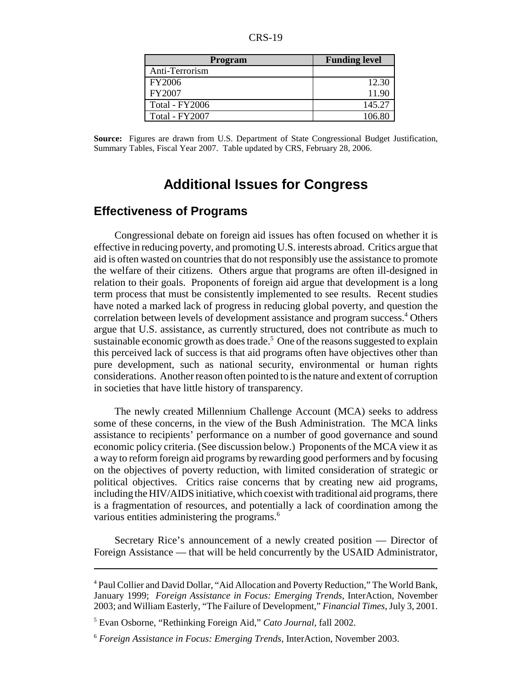| CRS-<br>-19 |
|-------------|
|-------------|

| <b>Program</b> | <b>Funding level</b> |
|----------------|----------------------|
| Anti-Terrorism |                      |
| FY2006         | 12.30                |
| FY2007         | 11.90                |
| Total - FY2006 | 145.27               |
| Total - FY2007 | 1በ6 Ջเ               |

**Source:** Figures are drawn from U.S. Department of State Congressional Budget Justification, Summary Tables, Fiscal Year 2007. Table updated by CRS, February 28, 2006.

## **Additional Issues for Congress**

## **Effectiveness of Programs**

Congressional debate on foreign aid issues has often focused on whether it is effective in reducing poverty, and promoting U.S. interests abroad. Critics argue that aid is often wasted on countries that do not responsibly use the assistance to promote the welfare of their citizens. Others argue that programs are often ill-designed in relation to their goals. Proponents of foreign aid argue that development is a long term process that must be consistently implemented to see results. Recent studies have noted a marked lack of progress in reducing global poverty, and question the correlation between levels of development assistance and program success.<sup>4</sup> Others argue that U.S. assistance, as currently structured, does not contribute as much to sustainable economic growth as does trade.<sup>5</sup> One of the reasons suggested to explain this perceived lack of success is that aid programs often have objectives other than pure development, such as national security, environmental or human rights considerations. Another reason often pointed to is the nature and extent of corruption in societies that have little history of transparency.

The newly created Millennium Challenge Account (MCA) seeks to address some of these concerns, in the view of the Bush Administration. The MCA links assistance to recipients' performance on a number of good governance and sound economic policy criteria. (See discussion below.) Proponents of the MCA view it as a way to reform foreign aid programs by rewarding good performers and by focusing on the objectives of poverty reduction, with limited consideration of strategic or political objectives. Critics raise concerns that by creating new aid programs, including the HIV/AIDS initiative, which coexist with traditional aid programs, there is a fragmentation of resources, and potentially a lack of coordination among the various entities administering the programs.<sup>6</sup>

Secretary Rice's announcement of a newly created position — Director of Foreign Assistance — that will be held concurrently by the USAID Administrator,

<sup>&</sup>lt;sup>4</sup> Paul Collier and David Dollar, "Aid Allocation and Poverty Reduction," The World Bank, January 1999; *Foreign Assistance in Focus: Emerging Trends*, InterAction, November 2003; and William Easterly, "The Failure of Development," *Financial Times*, July 3, 2001.

<sup>5</sup> Evan Osborne, "Rethinking Foreign Aid," *Cato Journal*, fall 2002.

<sup>6</sup> *Foreign Assistance in Focus: Emerging Trends*, InterAction, November 2003.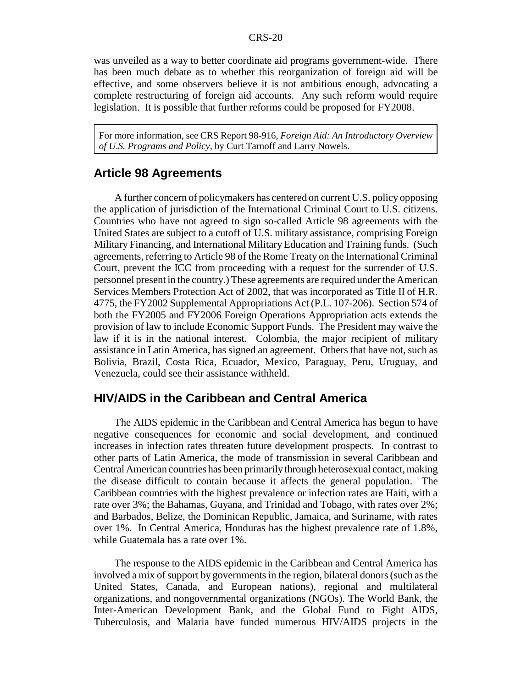was unveiled as a way to better coordinate aid programs government-wide. There has been much debate as to whether this reorganization of foreign aid will be effective, and some observers believe it is not ambitious enough, advocating a complete restructuring of foreign aid accounts. Any such reform would require legislation. It is possible that further reforms could be proposed for FY2008.

For more information, see CRS Report 98-916, *Foreign Aid: An Introductory Overview of U.S. Programs and Policy,* by Curt Tarnoff and Larry Nowels.

## **Article 98 Agreements**

A further concern of policymakers has centered on current U.S. policy opposing the application of jurisdiction of the International Criminal Court to U.S. citizens. Countries who have not agreed to sign so-called Article 98 agreements with the United States are subject to a cutoff of U.S. military assistance, comprising Foreign Military Financing, and International Military Education and Training funds. (Such agreements, referring to Article 98 of the Rome Treaty on the International Criminal Court, prevent the ICC from proceeding with a request for the surrender of U.S. personnel present in the country.) These agreements are required under the American Services Members Protection Act of 2002, that was incorporated as Title II of H.R. 4775, the FY2002 Supplemental Appropriations Act (P.L. 107-206). Section 574 of both the FY2005 and FY2006 Foreign Operations Appropriation acts extends the provision of law to include Economic Support Funds. The President may waive the law if it is in the national interest. Colombia, the major recipient of military assistance in Latin America, has signed an agreement. Others that have not, such as Bolivia, Brazil, Costa Rica, Ecuador, Mexico, Paraguay, Peru, Uruguay, and Venezuela, could see their assistance withheld.

## **HIV/AIDS in the Caribbean and Central America**

The AIDS epidemic in the Caribbean and Central America has begun to have negative consequences for economic and social development, and continued increases in infection rates threaten future development prospects. In contrast to other parts of Latin America, the mode of transmission in several Caribbean and Central American countries has been primarily through heterosexual contact, making the disease difficult to contain because it affects the general population. The Caribbean countries with the highest prevalence or infection rates are Haiti, with a rate over 3%; the Bahamas, Guyana, and Trinidad and Tobago, with rates over 2%; and Barbados, Belize, the Dominican Republic, Jamaica, and Suriname, with rates over 1%. In Central America, Honduras has the highest prevalence rate of 1.8%, while Guatemala has a rate over 1%.

The response to the AIDS epidemic in the Caribbean and Central America has involved a mix of support by governments in the region, bilateral donors (such as the United States, Canada, and European nations), regional and multilateral organizations, and nongovernmental organizations (NGOs). The World Bank, the Inter-American Development Bank, and the Global Fund to Fight AIDS, Tuberculosis, and Malaria have funded numerous HIV/AIDS projects in the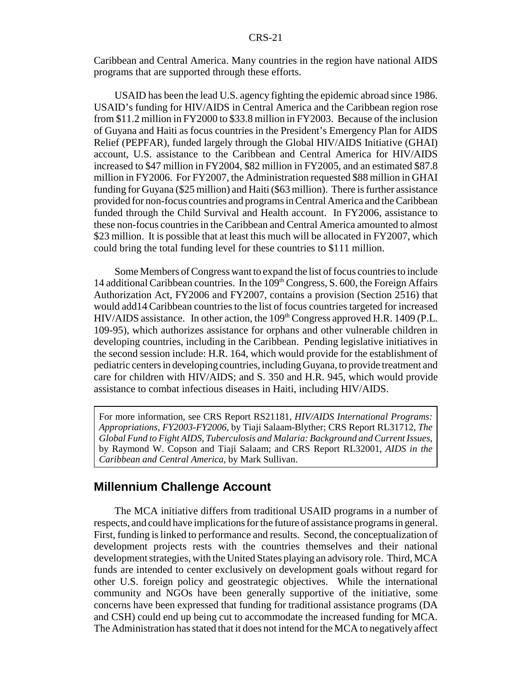Caribbean and Central America. Many countries in the region have national AIDS programs that are supported through these efforts.

USAID has been the lead U.S. agency fighting the epidemic abroad since 1986. USAID's funding for HIV/AIDS in Central America and the Caribbean region rose from \$11.2 million in FY2000 to \$33.8 million in FY2003. Because of the inclusion of Guyana and Haiti as focus countries in the President's Emergency Plan for AIDS Relief (PEPFAR), funded largely through the Global HIV/AIDS Initiative (GHAI) account, U.S. assistance to the Caribbean and Central America for HIV/AIDS increased to \$47 million in FY2004, \$82 million in FY2005, and an estimated \$87.8 million in FY2006. For FY2007, the Administration requested \$88 million in GHAI funding for Guyana (\$25 million) and Haiti (\$63 million). There is further assistance provided for non-focus countries and programs in Central America and the Caribbean funded through the Child Survival and Health account. In FY2006, assistance to these non-focus countries in the Caribbean and Central America amounted to almost \$23 million. It is possible that at least this much will be allocated in FY2007, which could bring the total funding level for these countries to \$111 million.

Some Members of Congress want to expand the list of focus countries to include 14 additional Caribbean countries. In the  $109<sup>th</sup> Congress, S. 600$ , the Foreign Affairs Authorization Act, FY2006 and FY2007, contains a provision (Section 2516) that would add14 Caribbean countries to the list of focus countries targeted for increased  $HIV/ALDS$  assistance. In other action, the  $109<sup>th</sup>$  Congress approved H.R. 1409 (P.L. 109-95), which authorizes assistance for orphans and other vulnerable children in developing countries, including in the Caribbean. Pending legislative initiatives in the second session include: H.R. 164, which would provide for the establishment of pediatric centers in developing countries, including Guyana, to provide treatment and care for children with HIV/AIDS; and S. 350 and H.R. 945, which would provide assistance to combat infectious diseases in Haiti, including HIV/AIDS.

For more information, see CRS Report RS21181, *HIV/AIDS International Programs: Appropriations, FY2003-FY2006*, by Tiaji Salaam-Blyther; CRS Report RL31712, *The Global Fund to Fight AIDS, Tuberculosis and Malaria: Background and Current Issues*, by Raymond W. Copson and Tiaji Salaam; and CRS Report RL32001, *AIDS in the Caribbean and Central America*, by Mark Sullivan.

## **Millennium Challenge Account**

The MCA initiative differs from traditional USAID programs in a number of respects, and could have implications for the future of assistance programs in general. First, funding is linked to performance and results. Second, the conceptualization of development projects rests with the countries themselves and their national development strategies, with the United States playing an advisory role. Third, MCA funds are intended to center exclusively on development goals without regard for other U.S. foreign policy and geostrategic objectives. While the international community and NGOs have been generally supportive of the initiative, some concerns have been expressed that funding for traditional assistance programs (DA and CSH) could end up being cut to accommodate the increased funding for MCA. The Administration has stated that it does not intend for the MCA to negatively affect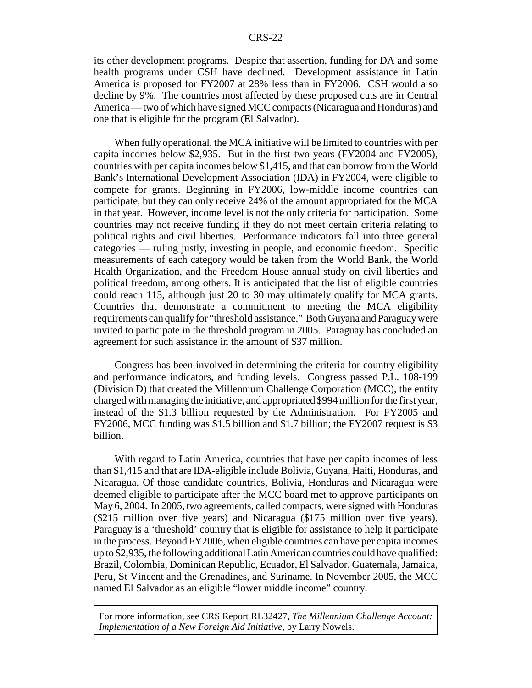its other development programs. Despite that assertion, funding for DA and some health programs under CSH have declined. Development assistance in Latin America is proposed for FY2007 at 28% less than in FY2006. CSH would also decline by 9%. The countries most affected by these proposed cuts are in Central America — two of which have signed MCC compacts (Nicaragua and Honduras) and one that is eligible for the program (El Salvador).

When fully operational, the MCA initiative will be limited to countries with per capita incomes below \$2,935. But in the first two years (FY2004 and FY2005), countries with per capita incomes below \$1,415, and that can borrow from the World Bank's International Development Association (IDA) in FY2004, were eligible to compete for grants. Beginning in FY2006, low-middle income countries can participate, but they can only receive 24% of the amount appropriated for the MCA in that year. However, income level is not the only criteria for participation. Some countries may not receive funding if they do not meet certain criteria relating to political rights and civil liberties. Performance indicators fall into three general categories — ruling justly, investing in people, and economic freedom. Specific measurements of each category would be taken from the World Bank, the World Health Organization, and the Freedom House annual study on civil liberties and political freedom, among others. It is anticipated that the list of eligible countries could reach 115, although just 20 to 30 may ultimately qualify for MCA grants. Countries that demonstrate a commitment to meeting the MCA eligibility requirements can qualify for "threshold assistance." Both Guyana and Paraguay were invited to participate in the threshold program in 2005. Paraguay has concluded an agreement for such assistance in the amount of \$37 million.

Congress has been involved in determining the criteria for country eligibility and performance indicators, and funding levels. Congress passed P.L. 108-199 (Division D) that created the Millennium Challenge Corporation (MCC), the entity charged with managing the initiative, and appropriated \$994 million for the first year, instead of the \$1.3 billion requested by the Administration. For FY2005 and FY2006, MCC funding was \$1.5 billion and \$1.7 billion; the FY2007 request is \$3 billion.

With regard to Latin America, countries that have per capita incomes of less than \$1,415 and that are IDA-eligible include Bolivia, Guyana, Haiti, Honduras, and Nicaragua. Of those candidate countries, Bolivia, Honduras and Nicaragua were deemed eligible to participate after the MCC board met to approve participants on May 6, 2004. In 2005, two agreements, called compacts, were signed with Honduras (\$215 million over five years) and Nicaragua (\$175 million over five years). Paraguay is a 'threshold' country that is eligible for assistance to help it participate in the process. Beyond FY2006, when eligible countries can have per capita incomes up to \$2,935, the following additional Latin American countries could have qualified: Brazil, Colombia, Dominican Republic, Ecuador, El Salvador, Guatemala, Jamaica, Peru, St Vincent and the Grenadines, and Suriname. In November 2005, the MCC named El Salvador as an eligible "lower middle income" country.

For more information, see CRS Report RL32427, *The Millennium Challenge Account: Implementation of a New Foreign Aid Initiative*, by Larry Nowels.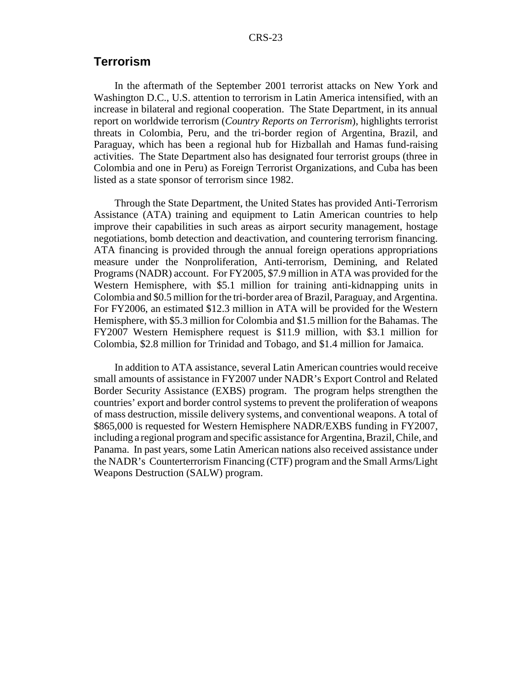## **Terrorism**

In the aftermath of the September 2001 terrorist attacks on New York and Washington D.C., U.S. attention to terrorism in Latin America intensified, with an increase in bilateral and regional cooperation. The State Department, in its annual report on worldwide terrorism (*Country Reports on Terrorism*), highlights terrorist threats in Colombia, Peru, and the tri-border region of Argentina, Brazil, and Paraguay, which has been a regional hub for Hizballah and Hamas fund-raising activities. The State Department also has designated four terrorist groups (three in Colombia and one in Peru) as Foreign Terrorist Organizations, and Cuba has been listed as a state sponsor of terrorism since 1982.

Through the State Department, the United States has provided Anti-Terrorism Assistance (ATA) training and equipment to Latin American countries to help improve their capabilities in such areas as airport security management, hostage negotiations, bomb detection and deactivation, and countering terrorism financing. ATA financing is provided through the annual foreign operations appropriations measure under the Nonproliferation, Anti-terrorism, Demining, and Related Programs (NADR) account. For FY2005, \$7.9 million in ATA was provided for the Western Hemisphere, with \$5.1 million for training anti-kidnapping units in Colombia and \$0.5 million for the tri-border area of Brazil, Paraguay, and Argentina. For FY2006, an estimated \$12.3 million in ATA will be provided for the Western Hemisphere, with \$5.3 million for Colombia and \$1.5 million for the Bahamas. The FY2007 Western Hemisphere request is \$11.9 million, with \$3.1 million for Colombia, \$2.8 million for Trinidad and Tobago, and \$1.4 million for Jamaica.

In addition to ATA assistance, several Latin American countries would receive small amounts of assistance in FY2007 under NADR's Export Control and Related Border Security Assistance (EXBS) program. The program helps strengthen the countries' export and border control systems to prevent the proliferation of weapons of mass destruction, missile delivery systems, and conventional weapons. A total of \$865,000 is requested for Western Hemisphere NADR/EXBS funding in FY2007, including a regional program and specific assistance for Argentina, Brazil, Chile, and Panama. In past years, some Latin American nations also received assistance under the NADR's Counterterrorism Financing (CTF) program and the Small Arms/Light Weapons Destruction (SALW) program.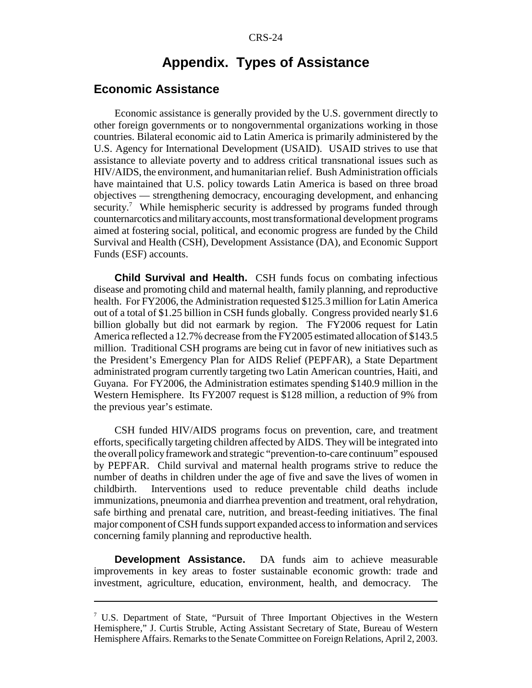## **Appendix. Types of Assistance**

## **Economic Assistance**

Economic assistance is generally provided by the U.S. government directly to other foreign governments or to nongovernmental organizations working in those countries. Bilateral economic aid to Latin America is primarily administered by the U.S. Agency for International Development (USAID). USAID strives to use that assistance to alleviate poverty and to address critical transnational issues such as HIV/AIDS, the environment, and humanitarian relief. Bush Administration officials have maintained that U.S. policy towards Latin America is based on three broad objectives — strengthening democracy, encouraging development, and enhancing security.<sup>7</sup> While hemispheric security is addressed by programs funded through counternarcotics and military accounts, most transformational development programs aimed at fostering social, political, and economic progress are funded by the Child Survival and Health (CSH), Development Assistance (DA), and Economic Support Funds (ESF) accounts.

**Child Survival and Health.** CSH funds focus on combating infectious disease and promoting child and maternal health, family planning, and reproductive health. For FY2006, the Administration requested \$125.3 million for Latin America out of a total of \$1.25 billion in CSH funds globally. Congress provided nearly \$1.6 billion globally but did not earmark by region. The FY2006 request for Latin America reflected a 12.7% decrease from the FY2005 estimated allocation of \$143.5 million. Traditional CSH programs are being cut in favor of new initiatives such as the President's Emergency Plan for AIDS Relief (PEPFAR), a State Department administrated program currently targeting two Latin American countries, Haiti, and Guyana. For FY2006, the Administration estimates spending \$140.9 million in the Western Hemisphere. Its FY2007 request is \$128 million, a reduction of 9% from the previous year's estimate.

CSH funded HIV/AIDS programs focus on prevention, care, and treatment efforts, specifically targeting children affected by AIDS. They will be integrated into the overall policy framework and strategic "prevention-to-care continuum" espoused by PEPFAR. Child survival and maternal health programs strive to reduce the number of deaths in children under the age of five and save the lives of women in childbirth. Interventions used to reduce preventable child deaths include immunizations, pneumonia and diarrhea prevention and treatment, oral rehydration, safe birthing and prenatal care, nutrition, and breast-feeding initiatives. The final major component of CSH funds support expanded access to information and services concerning family planning and reproductive health.

**Development Assistance.** DA funds aim to achieve measurable improvements in key areas to foster sustainable economic growth: trade and investment, agriculture, education, environment, health, and democracy. The

<sup>7</sup> U.S. Department of State, "Pursuit of Three Important Objectives in the Western Hemisphere," J. Curtis Struble, Acting Assistant Secretary of State, Bureau of Western Hemisphere Affairs. Remarks to the Senate Committee on Foreign Relations, April 2, 2003.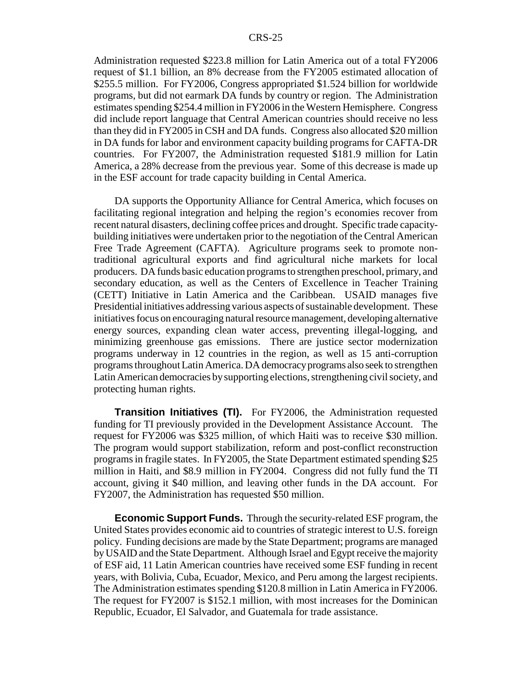Administration requested \$223.8 million for Latin America out of a total FY2006 request of \$1.1 billion, an 8% decrease from the FY2005 estimated allocation of \$255.5 million. For FY2006, Congress appropriated \$1.524 billion for worldwide programs, but did not earmark DA funds by country or region. The Administration estimates spending \$254.4 million in FY2006 in the Western Hemisphere. Congress did include report language that Central American countries should receive no less than they did in FY2005 in CSH and DA funds. Congress also allocated \$20 million in DA funds for labor and environment capacity building programs for CAFTA-DR countries. For FY2007, the Administration requested \$181.9 million for Latin America, a 28% decrease from the previous year. Some of this decrease is made up in the ESF account for trade capacity building in Cental America.

DA supports the Opportunity Alliance for Central America, which focuses on facilitating regional integration and helping the region's economies recover from recent natural disasters, declining coffee prices and drought. Specific trade capacitybuilding initiatives were undertaken prior to the negotiation of the Central American Free Trade Agreement (CAFTA). Agriculture programs seek to promote nontraditional agricultural exports and find agricultural niche markets for local producers. DA funds basic education programs to strengthen preschool, primary, and secondary education, as well as the Centers of Excellence in Teacher Training (CETT) Initiative in Latin America and the Caribbean. USAID manages five Presidential initiatives addressing various aspects of sustainable development. These initiatives focus on encouraging natural resource management, developing alternative energy sources, expanding clean water access, preventing illegal-logging, and minimizing greenhouse gas emissions. There are justice sector modernization programs underway in 12 countries in the region, as well as 15 anti-corruption programs throughout Latin America. DA democracy programs also seek to strengthen Latin American democracies by supporting elections, strengthening civil society, and protecting human rights.

**Transition Initiatives (TI).** For FY2006, the Administration requested funding for TI previously provided in the Development Assistance Account. The request for FY2006 was \$325 million, of which Haiti was to receive \$30 million. The program would support stabilization, reform and post-conflict reconstruction programs in fragile states. In FY2005, the State Department estimated spending \$25 million in Haiti, and \$8.9 million in FY2004. Congress did not fully fund the TI account, giving it \$40 million, and leaving other funds in the DA account. For FY2007, the Administration has requested \$50 million.

**Economic Support Funds.** Through the security-related ESF program, the United States provides economic aid to countries of strategic interest to U.S. foreign policy. Funding decisions are made by the State Department; programs are managed by USAID and the State Department. Although Israel and Egypt receive the majority of ESF aid, 11 Latin American countries have received some ESF funding in recent years, with Bolivia, Cuba, Ecuador, Mexico, and Peru among the largest recipients. The Administration estimates spending \$120.8 million in Latin America in FY2006. The request for FY2007 is \$152.1 million, with most increases for the Dominican Republic, Ecuador, El Salvador, and Guatemala for trade assistance.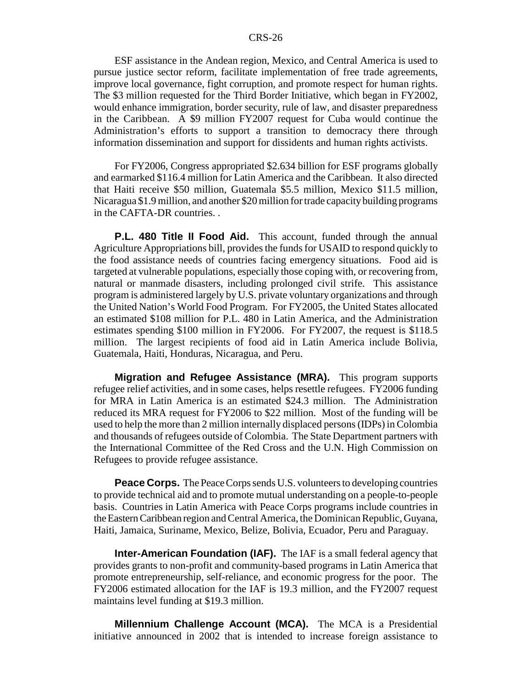ESF assistance in the Andean region, Mexico, and Central America is used to pursue justice sector reform, facilitate implementation of free trade agreements, improve local governance, fight corruption, and promote respect for human rights. The \$3 million requested for the Third Border Initiative, which began in FY2002, would enhance immigration, border security, rule of law, and disaster preparedness in the Caribbean. A \$9 million FY2007 request for Cuba would continue the Administration's efforts to support a transition to democracy there through information dissemination and support for dissidents and human rights activists.

For FY2006, Congress appropriated \$2.634 billion for ESF programs globally and earmarked \$116.4 million for Latin America and the Caribbean. It also directed that Haiti receive \$50 million, Guatemala \$5.5 million, Mexico \$11.5 million, Nicaragua \$1.9 million, and another \$20 million for trade capacity building programs in the CAFTA-DR countries. .

**P.L. 480 Title II Food Aid.** This account, funded through the annual Agriculture Appropriations bill, provides the funds for USAID to respond quickly to the food assistance needs of countries facing emergency situations. Food aid is targeted at vulnerable populations, especially those coping with, or recovering from, natural or manmade disasters, including prolonged civil strife. This assistance program is administered largely by U.S. private voluntary organizations and through the United Nation's World Food Program. For FY2005, the United States allocated an estimated \$108 million for P.L. 480 in Latin America, and the Administration estimates spending \$100 million in FY2006. For FY2007, the request is \$118.5 million. The largest recipients of food aid in Latin America include Bolivia, Guatemala, Haiti, Honduras, Nicaragua, and Peru.

**Migration and Refugee Assistance (MRA).** This program supports refugee relief activities, and in some cases, helps resettle refugees. FY2006 funding for MRA in Latin America is an estimated \$24.3 million. The Administration reduced its MRA request for FY2006 to \$22 million. Most of the funding will be used to help the more than 2 million internally displaced persons (IDPs) in Colombia and thousands of refugees outside of Colombia. The State Department partners with the International Committee of the Red Cross and the U.N. High Commission on Refugees to provide refugee assistance.

**Peace Corps.** The Peace Corps sends U.S. volunteers to developing countries to provide technical aid and to promote mutual understanding on a people-to-people basis. Countries in Latin America with Peace Corps programs include countries in the Eastern Caribbean region and Central America, the Dominican Republic, Guyana, Haiti, Jamaica, Suriname, Mexico, Belize, Bolivia, Ecuador, Peru and Paraguay.

**Inter-American Foundation (IAF).** The IAF is a small federal agency that provides grants to non-profit and community-based programs in Latin America that promote entrepreneurship, self-reliance, and economic progress for the poor. The FY2006 estimated allocation for the IAF is 19.3 million, and the FY2007 request maintains level funding at \$19.3 million.

**Millennium Challenge Account (MCA).** The MCA is a Presidential initiative announced in 2002 that is intended to increase foreign assistance to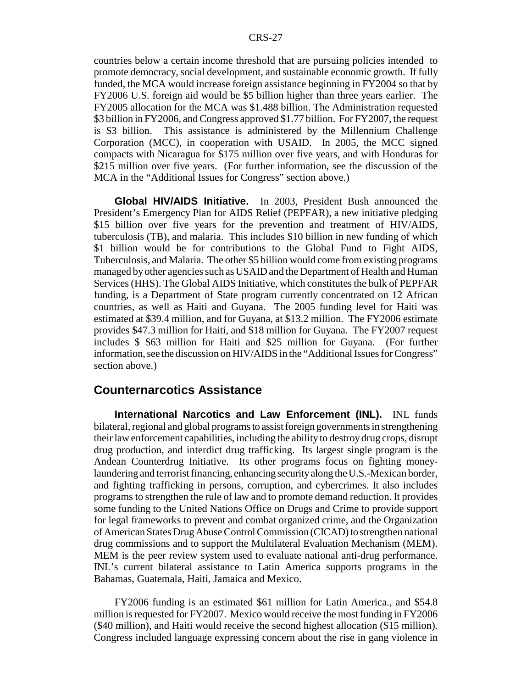countries below a certain income threshold that are pursuing policies intended to promote democracy, social development, and sustainable economic growth. If fully funded, the MCA would increase foreign assistance beginning in FY2004 so that by FY2006 U.S. foreign aid would be \$5 billion higher than three years earlier. The FY2005 allocation for the MCA was \$1.488 billion. The Administration requested \$3 billion in FY2006, and Congress approved \$1.77 billion. For FY2007, the request is \$3 billion. This assistance is administered by the Millennium Challenge Corporation (MCC), in cooperation with USAID. In 2005, the MCC signed compacts with Nicaragua for \$175 million over five years, and with Honduras for \$215 million over five years. (For further information, see the discussion of the MCA in the "Additional Issues for Congress" section above.)

**Global HIV/AIDS Initiative.** In 2003, President Bush announced the President's Emergency Plan for AIDS Relief (PEPFAR), a new initiative pledging \$15 billion over five years for the prevention and treatment of HIV/AIDS, tuberculosis (TB), and malaria. This includes \$10 billion in new funding of which \$1 billion would be for contributions to the Global Fund to Fight AIDS, Tuberculosis, and Malaria. The other \$5 billion would come from existing programs managed by other agencies such as USAID and the Department of Health and Human Services (HHS). The Global AIDS Initiative, which constitutes the bulk of PEPFAR funding, is a Department of State program currently concentrated on 12 African countries, as well as Haiti and Guyana. The 2005 funding level for Haiti was estimated at \$39.4 million, and for Guyana, at \$13.2 million. The FY2006 estimate provides \$47.3 million for Haiti, and \$18 million for Guyana. The FY2007 request includes \$ \$63 million for Haiti and \$25 million for Guyana. (For further information, see the discussion on HIV/AIDS in the "Additional Issues for Congress" section above.)

## **Counternarcotics Assistance**

**International Narcotics and Law Enforcement (INL).** INL funds bilateral, regional and global programs to assist foreign governments in strengthening their law enforcement capabilities, including the ability to destroy drug crops, disrupt drug production, and interdict drug trafficking. Its largest single program is the Andean Counterdrug Initiative. Its other programs focus on fighting moneylaundering and terrorist financing, enhancing security along the U.S.-Mexican border, and fighting trafficking in persons, corruption, and cybercrimes. It also includes programs to strengthen the rule of law and to promote demand reduction. It provides some funding to the United Nations Office on Drugs and Crime to provide support for legal frameworks to prevent and combat organized crime, and the Organization of American States Drug Abuse Control Commission (CICAD) to strengthen national drug commissions and to support the Multilateral Evaluation Mechanism (MEM). MEM is the peer review system used to evaluate national anti-drug performance. INL's current bilateral assistance to Latin America supports programs in the Bahamas, Guatemala, Haiti, Jamaica and Mexico.

FY2006 funding is an estimated \$61 million for Latin America., and \$54.8 million is requested for FY2007. Mexico would receive the most funding in FY2006 (\$40 million), and Haiti would receive the second highest allocation (\$15 million). Congress included language expressing concern about the rise in gang violence in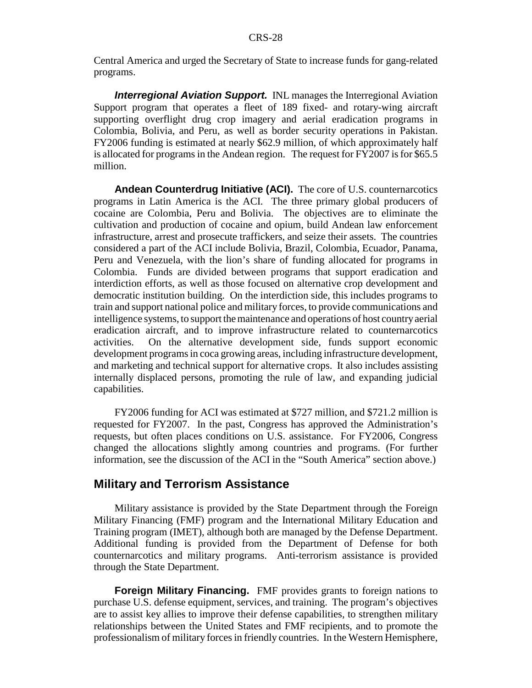Central America and urged the Secretary of State to increase funds for gang-related programs.

*Interregional Aviation Support.* INL manages the Interregional Aviation Support program that operates a fleet of 189 fixed- and rotary-wing aircraft supporting overflight drug crop imagery and aerial eradication programs in Colombia, Bolivia, and Peru, as well as border security operations in Pakistan. FY2006 funding is estimated at nearly \$62.9 million, of which approximately half is allocated for programs in the Andean region. The request for FY2007 is for \$65.5 million.

**Andean Counterdrug Initiative (ACI).** The core of U.S. counternarcotics programs in Latin America is the ACI. The three primary global producers of cocaine are Colombia, Peru and Bolivia. The objectives are to eliminate the cultivation and production of cocaine and opium, build Andean law enforcement infrastructure, arrest and prosecute traffickers, and seize their assets. The countries considered a part of the ACI include Bolivia, Brazil, Colombia, Ecuador, Panama, Peru and Venezuela, with the lion's share of funding allocated for programs in Colombia. Funds are divided between programs that support eradication and interdiction efforts, as well as those focused on alternative crop development and democratic institution building. On the interdiction side, this includes programs to train and support national police and military forces, to provide communications and intelligence systems, to support the maintenance and operations of host country aerial eradication aircraft, and to improve infrastructure related to counternarcotics activities. On the alternative development side, funds support economic development programs in coca growing areas, including infrastructure development, and marketing and technical support for alternative crops. It also includes assisting internally displaced persons, promoting the rule of law, and expanding judicial capabilities.

FY2006 funding for ACI was estimated at \$727 million, and \$721.2 million is requested for FY2007. In the past, Congress has approved the Administration's requests, but often places conditions on U.S. assistance. For FY2006, Congress changed the allocations slightly among countries and programs. (For further information, see the discussion of the ACI in the "South America" section above.)

## **Military and Terrorism Assistance**

Military assistance is provided by the State Department through the Foreign Military Financing (FMF) program and the International Military Education and Training program (IMET), although both are managed by the Defense Department. Additional funding is provided from the Department of Defense for both counternarcotics and military programs. Anti-terrorism assistance is provided through the State Department.

**Foreign Military Financing.** FMF provides grants to foreign nations to purchase U.S. defense equipment, services, and training. The program's objectives are to assist key allies to improve their defense capabilities, to strengthen military relationships between the United States and FMF recipients, and to promote the professionalism of military forces in friendly countries. In the Western Hemisphere,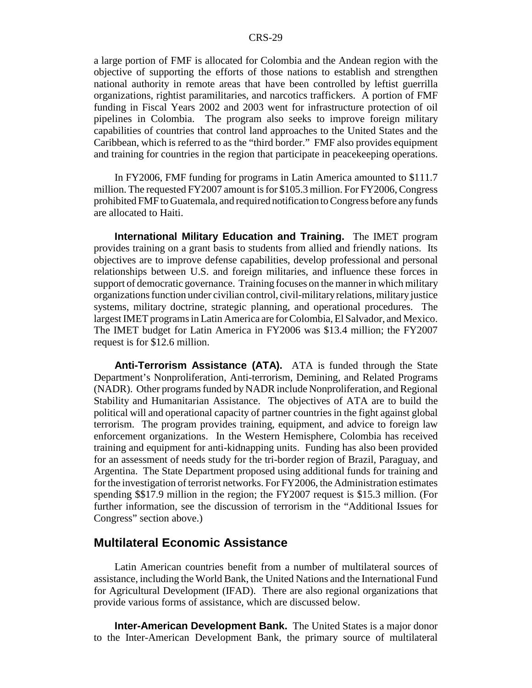a large portion of FMF is allocated for Colombia and the Andean region with the objective of supporting the efforts of those nations to establish and strengthen national authority in remote areas that have been controlled by leftist guerrilla organizations, rightist paramilitaries, and narcotics traffickers. A portion of FMF funding in Fiscal Years 2002 and 2003 went for infrastructure protection of oil pipelines in Colombia. The program also seeks to improve foreign military capabilities of countries that control land approaches to the United States and the Caribbean, which is referred to as the "third border." FMF also provides equipment and training for countries in the region that participate in peacekeeping operations.

In FY2006, FMF funding for programs in Latin America amounted to \$111.7 million. The requested FY2007 amount is for \$105.3 million. For FY2006, Congress prohibited FMF to Guatemala, and required notification to Congress before any funds are allocated to Haiti.

**International Military Education and Training.** The IMET program provides training on a grant basis to students from allied and friendly nations. Its objectives are to improve defense capabilities, develop professional and personal relationships between U.S. and foreign militaries, and influence these forces in support of democratic governance. Training focuses on the manner in which military organizations function under civilian control, civil-military relations, military justice systems, military doctrine, strategic planning, and operational procedures. The largest IMET programs in Latin America are for Colombia, El Salvador, and Mexico. The IMET budget for Latin America in FY2006 was \$13.4 million; the FY2007 request is for \$12.6 million.

**Anti-Terrorism Assistance (ATA).** ATA is funded through the State Department's Nonproliferation, Anti-terrorism, Demining, and Related Programs (NADR). Other programs funded by NADR include Nonproliferation, and Regional Stability and Humanitarian Assistance. The objectives of ATA are to build the political will and operational capacity of partner countries in the fight against global terrorism. The program provides training, equipment, and advice to foreign law enforcement organizations. In the Western Hemisphere, Colombia has received training and equipment for anti-kidnapping units. Funding has also been provided for an assessment of needs study for the tri-border region of Brazil, Paraguay, and Argentina. The State Department proposed using additional funds for training and for the investigation of terrorist networks. For FY2006, the Administration estimates spending \$\$17.9 million in the region; the FY2007 request is \$15.3 million. (For further information, see the discussion of terrorism in the "Additional Issues for Congress" section above.)

## **Multilateral Economic Assistance**

Latin American countries benefit from a number of multilateral sources of assistance, including the World Bank, the United Nations and the International Fund for Agricultural Development (IFAD). There are also regional organizations that provide various forms of assistance, which are discussed below.

**Inter-American Development Bank.** The United States is a major donor to the Inter-American Development Bank, the primary source of multilateral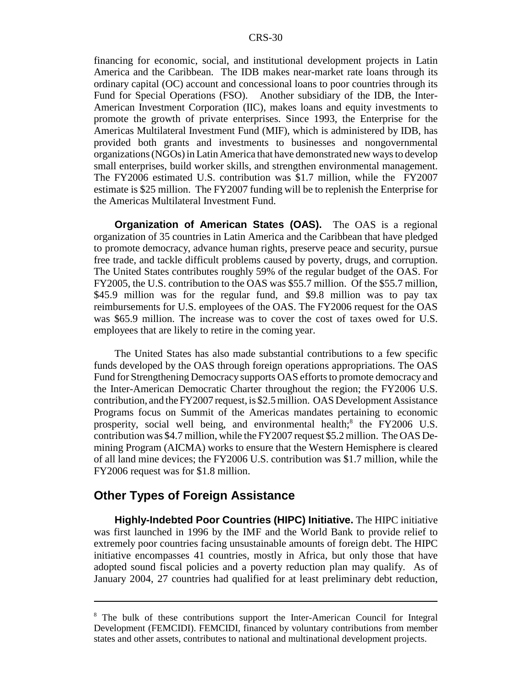financing for economic, social, and institutional development projects in Latin America and the Caribbean. The IDB makes near-market rate loans through its ordinary capital (OC) account and concessional loans to poor countries through its Fund for Special Operations (FSO). Another subsidiary of the IDB, the Inter-American Investment Corporation (IIC), makes loans and equity investments to promote the growth of private enterprises. Since 1993, the Enterprise for the Americas Multilateral Investment Fund (MIF), which is administered by IDB, has provided both grants and investments to businesses and nongovernmental organizations (NGOs) in Latin America that have demonstrated new ways to develop small enterprises, build worker skills, and strengthen environmental management. The FY2006 estimated U.S. contribution was \$1.7 million, while the FY2007 estimate is \$25 million. The FY2007 funding will be to replenish the Enterprise for the Americas Multilateral Investment Fund.

**Organization of American States (OAS).** The OAS is a regional organization of 35 countries in Latin America and the Caribbean that have pledged to promote democracy, advance human rights, preserve peace and security, pursue free trade, and tackle difficult problems caused by poverty, drugs, and corruption. The United States contributes roughly 59% of the regular budget of the OAS. For FY2005, the U.S. contribution to the OAS was \$55.7 million. Of the \$55.7 million, \$45.9 million was for the regular fund, and \$9.8 million was to pay tax reimbursements for U.S. employees of the OAS. The FY2006 request for the OAS was \$65.9 million. The increase was to cover the cost of taxes owed for U.S. employees that are likely to retire in the coming year.

The United States has also made substantial contributions to a few specific funds developed by the OAS through foreign operations appropriations. The OAS Fund for Strengthening Democracy supports OAS efforts to promote democracy and the Inter-American Democratic Charter throughout the region; the FY2006 U.S. contribution, and the FY2007 request, is \$2.5 million. OAS Development Assistance Programs focus on Summit of the Americas mandates pertaining to economic prosperity, social well being, and environmental health;<sup>8</sup> the FY2006 U.S. contribution was \$4.7 million, while the FY2007 request \$5.2 million. The OAS Demining Program (AICMA) works to ensure that the Western Hemisphere is cleared of all land mine devices; the FY2006 U.S. contribution was \$1.7 million, while the FY2006 request was for \$1.8 million.

#### **Other Types of Foreign Assistance**

**Highly-Indebted Poor Countries (HIPC) Initiative.** The HIPC initiative was first launched in 1996 by the IMF and the World Bank to provide relief to extremely poor countries facing unsustainable amounts of foreign debt. The HIPC initiative encompasses 41 countries, mostly in Africa, but only those that have adopted sound fiscal policies and a poverty reduction plan may qualify. As of January 2004, 27 countries had qualified for at least preliminary debt reduction,

<sup>&</sup>lt;sup>8</sup> The bulk of these contributions support the Inter-American Council for Integral Development (FEMCIDI). FEMCIDI, financed by voluntary contributions from member states and other assets, contributes to national and multinational development projects.